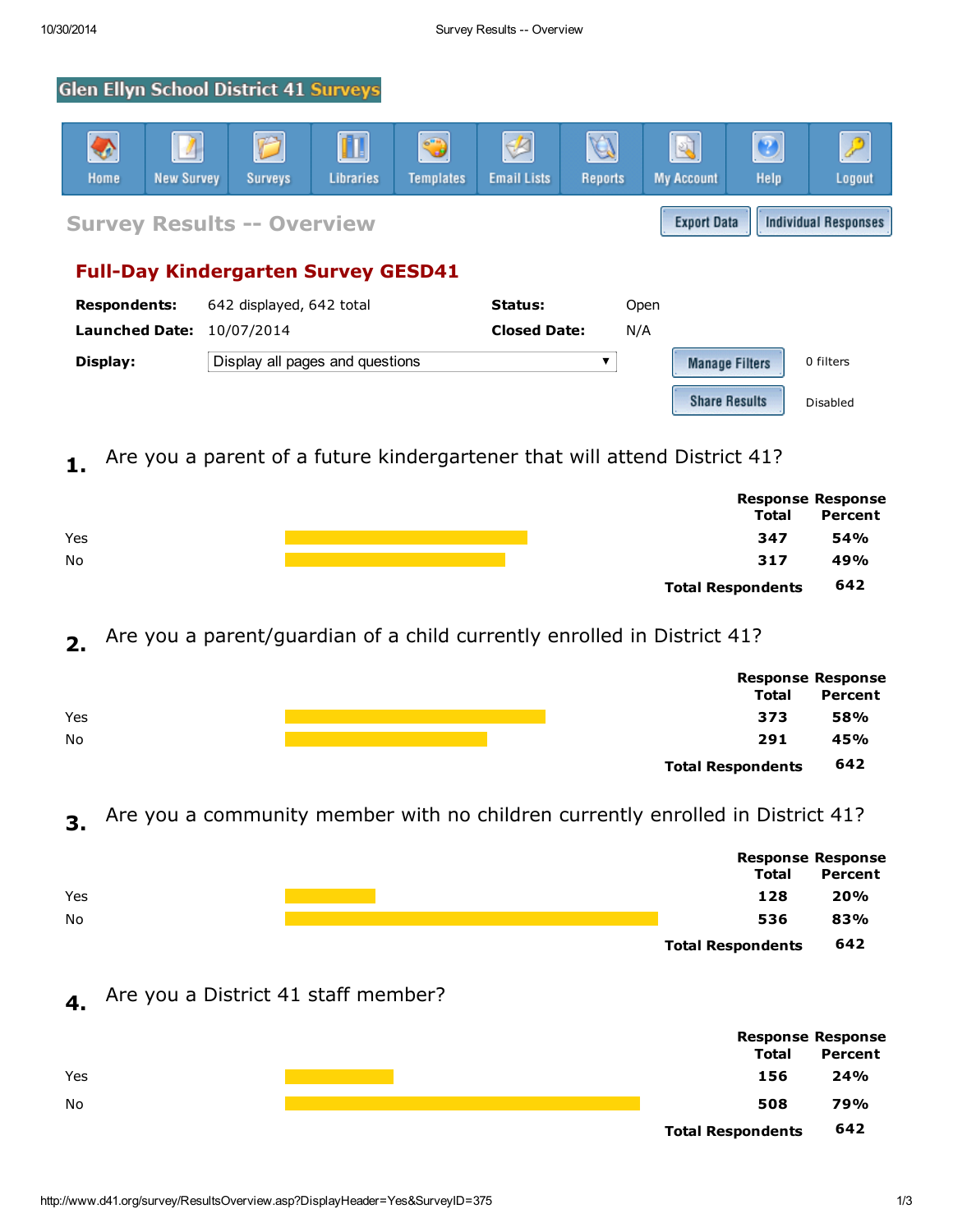# **Glen Ellyn School District 41 Surveys**



# 1. Are you a parent of a future kindergartener that will attend District 41?

|     |                          | <b>Response Response</b> |  |
|-----|--------------------------|--------------------------|--|
|     | <b>Total</b>             | Percent                  |  |
| Yes | 347                      | 54%                      |  |
| No  | 317                      | 49%                      |  |
|     | <b>Total Respondents</b> | 642                      |  |

# 2. Are you a parent/guardian of a child currently enrolled in District 41?

|     |                          | <b>Response Response</b> |  |
|-----|--------------------------|--------------------------|--|
|     | <b>Total</b>             | Percent                  |  |
| Yes | 373                      | 58%                      |  |
| No  | 291                      | 45%                      |  |
|     | <b>Total Respondents</b> | 642                      |  |

# 3. Are you a community member with no children currently enrolled in District 41?

|     |                          | <b>Response Response</b> |  |
|-----|--------------------------|--------------------------|--|
|     | <b>Total</b>             | Percent                  |  |
| Yes | 128                      | 20%                      |  |
| No  | 536                      | 83%                      |  |
|     | <b>Total Respondents</b> | 642                      |  |

# 4. Are you a District 41 staff member?



Disabled

**Share Results**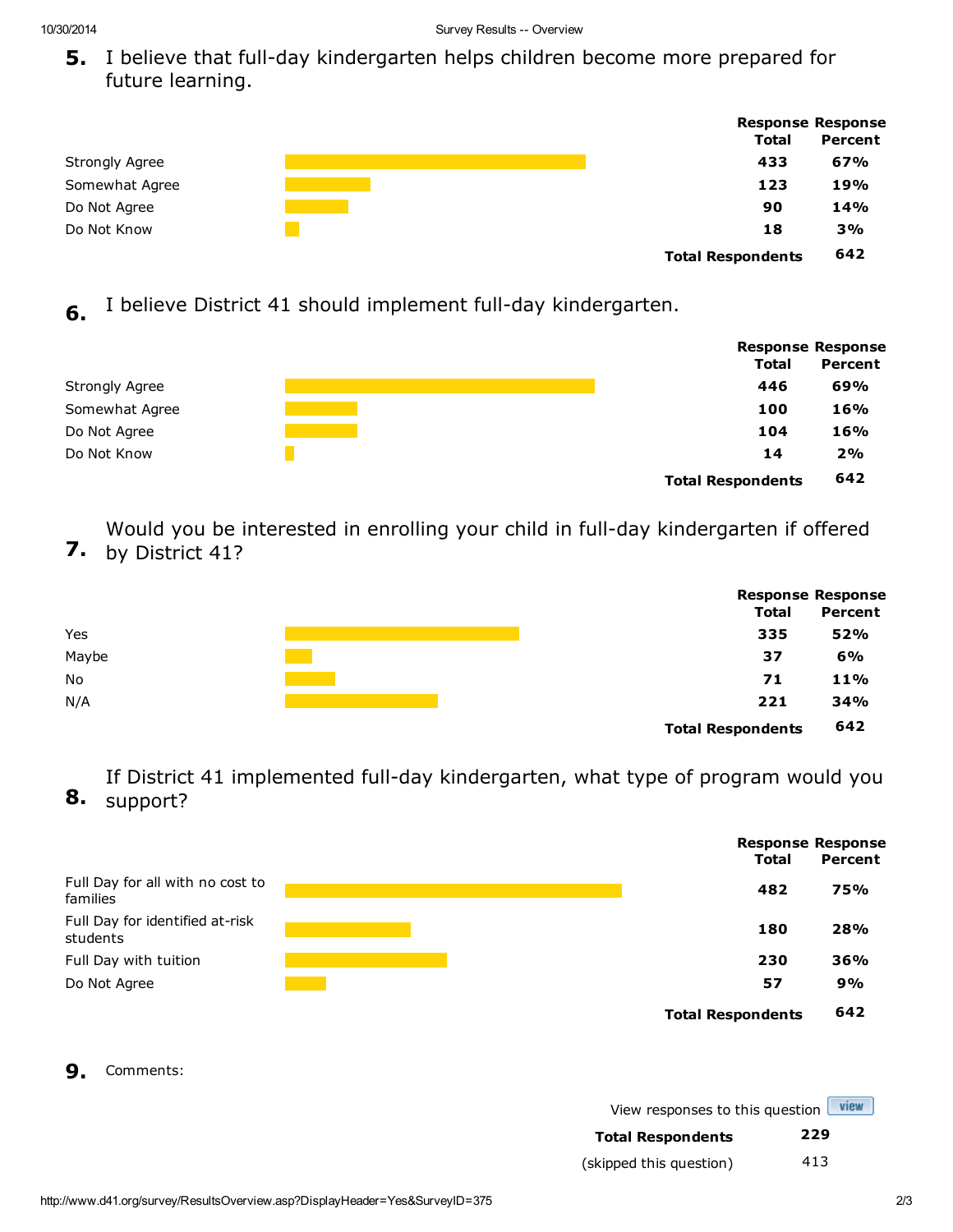5. I believe that full-day kindergarten helps children become more prepared for future learning.

|                       |                          | <b>Response Response</b> |  |
|-----------------------|--------------------------|--------------------------|--|
|                       | <b>Total</b>             | Percent                  |  |
| <b>Strongly Agree</b> | 433                      | 67%                      |  |
| Somewhat Agree        | 123                      | 19%                      |  |
| Do Not Agree          | 90                       | 14%                      |  |
| Do Not Know           | 18                       | 3%                       |  |
|                       | <b>Total Respondents</b> | 642                      |  |

6. I believe District 41 should implement full-day kindergarten.

|                       |                          | <b>Response Response</b> |  |
|-----------------------|--------------------------|--------------------------|--|
|                       | <b>Total</b>             | Percent                  |  |
| <b>Strongly Agree</b> | 446                      | 69%                      |  |
| Somewhat Agree        | 100                      | 16%                      |  |
| Do Not Agree          | 104                      | 16%                      |  |
| Do Not Know           | 14                       | 2%                       |  |
|                       | <b>Total Respondents</b> | 642                      |  |

7. by District 41? Would you be interested in enrolling your child in full-day kindergarten if offered

|           |                          | <b>Response Response</b> |  |
|-----------|--------------------------|--------------------------|--|
|           | <b>Total</b>             | Percent                  |  |
| Yes       | 335                      | 52%                      |  |
| Maybe     | 37                       | 6%                       |  |
| <b>No</b> | 71                       | 11%                      |  |
| N/A       | 221                      | 34%                      |  |
|           | <b>Total Respondents</b> | 642                      |  |

8. support? If District 41 implemented full-day kindergarten, what type of program would you



9. Comments:

| View responses to this question view |  |
|--------------------------------------|--|
|                                      |  |

| <b>Total Respondents</b> | 229 |
|--------------------------|-----|
| (skipped this question)  | 413 |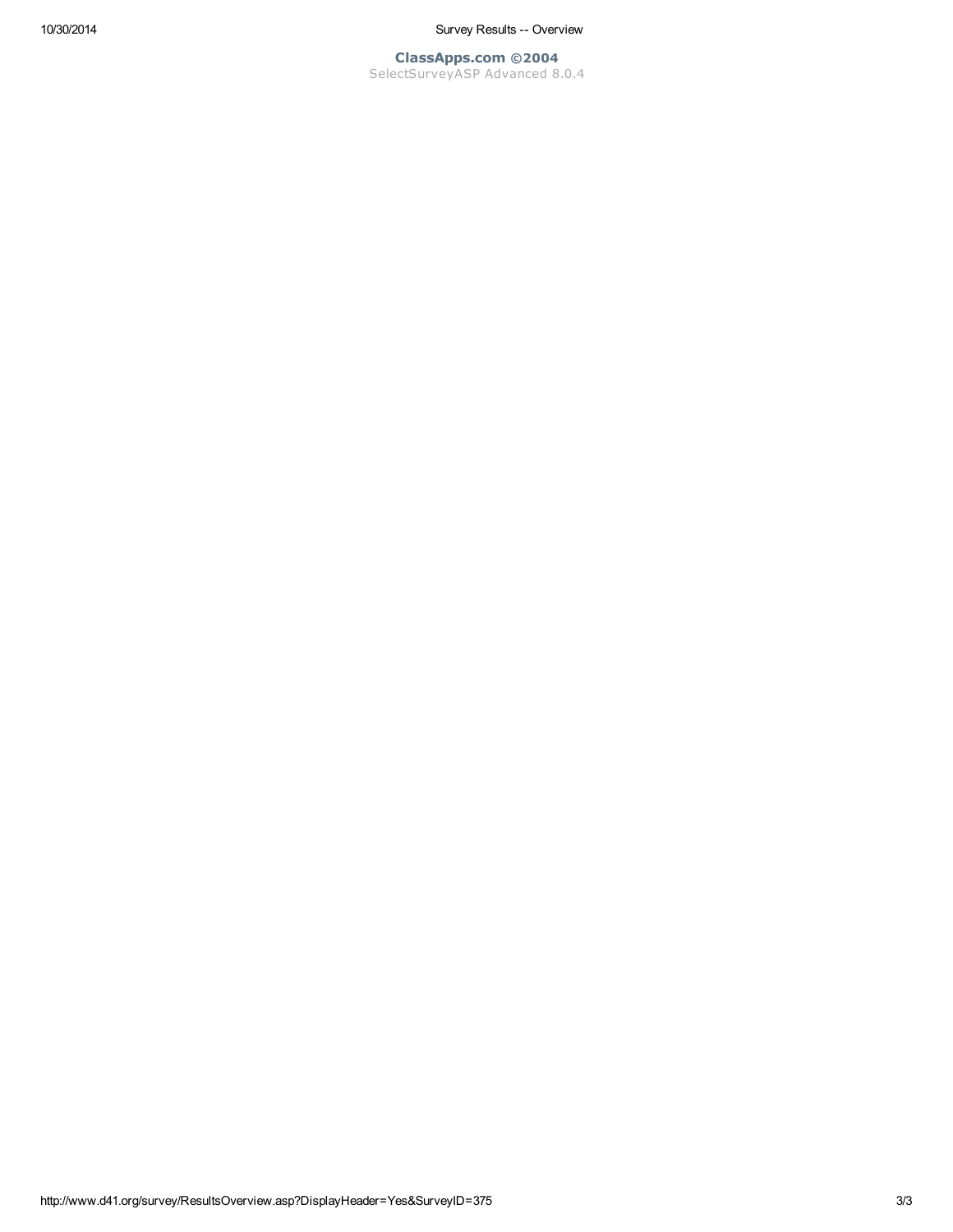10/30/2014 Survey Results -- Overview

ClassApps.com ©2004 SelectSurveyASP Advanced 8.0.4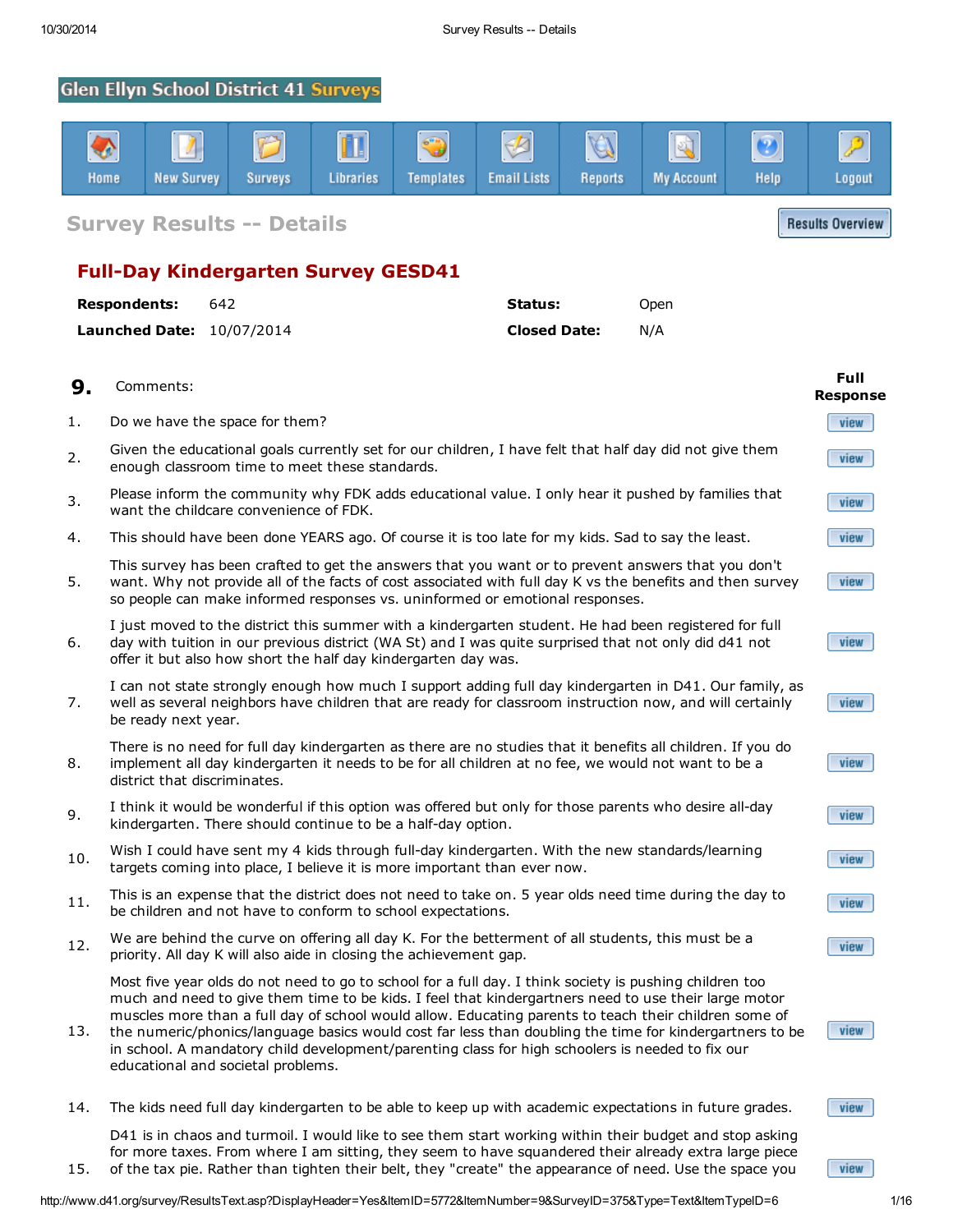15.

# **Glen Ellyn School District 41 Surveys**



Survey Results -- Details

# Full-Day Kindergarten Survey GESD41

| <b>Respondents:</b>              | 642 | Status:             | Open |
|----------------------------------|-----|---------------------|------|
| <b>Launched Date: 10/07/2014</b> |     | <b>Closed Date:</b> | N/A  |

| 9.  | Comments:                                                                                                                                                                                                                                                                                                                                                                                                                                                                                                                                                                     | Full<br><b>Response</b> |
|-----|-------------------------------------------------------------------------------------------------------------------------------------------------------------------------------------------------------------------------------------------------------------------------------------------------------------------------------------------------------------------------------------------------------------------------------------------------------------------------------------------------------------------------------------------------------------------------------|-------------------------|
| 1.  | Do we have the space for them?                                                                                                                                                                                                                                                                                                                                                                                                                                                                                                                                                | view                    |
| 2.  | Given the educational goals currently set for our children, I have felt that half day did not give them<br>enough classroom time to meet these standards.                                                                                                                                                                                                                                                                                                                                                                                                                     | view                    |
| 3.  | Please inform the community why FDK adds educational value. I only hear it pushed by families that<br>want the childcare convenience of FDK.                                                                                                                                                                                                                                                                                                                                                                                                                                  | view                    |
| 4.  | This should have been done YEARS ago. Of course it is too late for my kids. Sad to say the least.                                                                                                                                                                                                                                                                                                                                                                                                                                                                             | view                    |
| 5.  | This survey has been crafted to get the answers that you want or to prevent answers that you don't<br>want. Why not provide all of the facts of cost associated with full day K vs the benefits and then survey<br>so people can make informed responses vs. uninformed or emotional responses.                                                                                                                                                                                                                                                                               | view                    |
| 6.  | I just moved to the district this summer with a kindergarten student. He had been registered for full<br>day with tuition in our previous district (WA St) and I was quite surprised that not only did d41 not<br>offer it but also how short the half day kindergarten day was.                                                                                                                                                                                                                                                                                              | view                    |
| 7.  | I can not state strongly enough how much I support adding full day kindergarten in D41. Our family, as<br>well as several neighbors have children that are ready for classroom instruction now, and will certainly<br>be ready next year.                                                                                                                                                                                                                                                                                                                                     | view                    |
| 8.  | There is no need for full day kindergarten as there are no studies that it benefits all children. If you do<br>implement all day kindergarten it needs to be for all children at no fee, we would not want to be a<br>district that discriminates.                                                                                                                                                                                                                                                                                                                            | view                    |
| 9.  | I think it would be wonderful if this option was offered but only for those parents who desire all-day<br>kindergarten. There should continue to be a half-day option.                                                                                                                                                                                                                                                                                                                                                                                                        | view                    |
| 10. | Wish I could have sent my 4 kids through full-day kindergarten. With the new standards/learning<br>targets coming into place, I believe it is more important than ever now.                                                                                                                                                                                                                                                                                                                                                                                                   | view                    |
| 11. | This is an expense that the district does not need to take on. 5 year olds need time during the day to<br>be children and not have to conform to school expectations.                                                                                                                                                                                                                                                                                                                                                                                                         | view                    |
| 12. | We are behind the curve on offering all day K. For the betterment of all students, this must be a<br>priority. All day K will also aide in closing the achievement gap.                                                                                                                                                                                                                                                                                                                                                                                                       | view                    |
| 13. | Most five year olds do not need to go to school for a full day. I think society is pushing children too<br>much and need to give them time to be kids. I feel that kindergartners need to use their large motor<br>muscles more than a full day of school would allow. Educating parents to teach their children some of<br>the numeric/phonics/language basics would cost far less than doubling the time for kindergartners to be<br>in school. A mandatory child development/parenting class for high schoolers is needed to fix our<br>educational and societal problems. | view                    |
| 14. | The kids need full day kindergarten to be able to keep up with academic expectations in future grades.                                                                                                                                                                                                                                                                                                                                                                                                                                                                        | view                    |

D41 is in chaos and turmoil. I would like to see them start working within their budget and stop asking for more taxes. From where I am sitting, they seem to have squandered their already extra large piece of the tax pie. Rather than tighten their belt, they "create" the appearance of need. Use the space you

http://www.d41.org/survey/ResultsText.asp?DisplayHeader=Yes&ItemID=5772&ItemNumber=9&SurveyID=375&Type=Text&ItemTypeID=6 1/16

view

**Results Overview**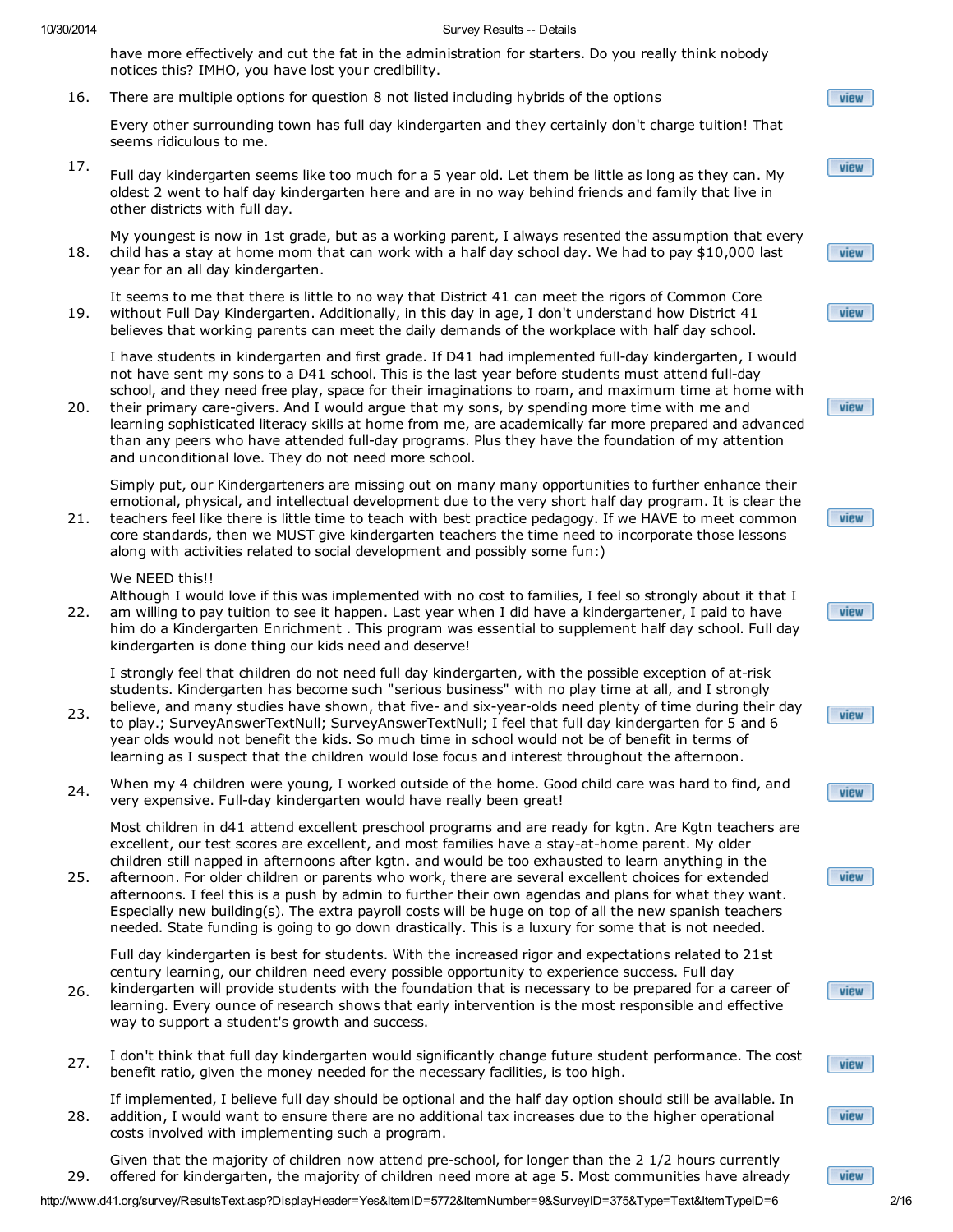have more effectively and cut the fat in the administration for starters. Do you really think nobody notices this? IMHO, you have lost your credibility.

16. There are multiple options for question 8 not listed including hybrids of the options

Every other surrounding town has full day kindergarten and they certainly don't charge tuition! That seems ridiculous to me.

- 17. Full day kindergarten seems like too much for a 5 year old. Let them be little as long as they can. My oldest 2 went to half day kindergarten here and are in no way behind friends and family that live in other districts with full day.
- 18. My youngest is now in 1st grade, but as a working parent, I always resented the assumption that every child has a stay at home mom that can work with a half day school day. We had to pay \$10,000 last year for an all day kindergarten.
- 19. It seems to me that there is little to no way that District 41 can meet the rigors of Common Core without Full Day Kindergarten. Additionally, in this day in age, I don't understand how District 41 believes that working parents can meet the daily demands of the workplace with half day school.

I have students in kindergarten and first grade. If D41 had implemented full-day kindergarten, I would not have sent my sons to a D41 school. This is the last year before students must attend full-day school, and they need free play, space for their imaginations to roam, and maximum time at home with

20. their primary care-givers. And I would argue that my sons, by spending more time with me and learning sophisticated literacy skills at home from me, are academically far more prepared and advanced than any peers who have attended full-day programs. Plus they have the foundation of my attention and unconditional love. They do not need more school.

Simply put, our Kindergarteners are missing out on many many opportunities to further enhance their emotional, physical, and intellectual development due to the very short half day program. It is clear the

21. teachers feel like there is little time to teach with best practice pedagogy. If we HAVE to meet common core standards, then we MUST give kindergarten teachers the time need to incorporate those lessons along with activities related to social development and possibly some fun:)

## We NEED this!!

kindergarten is done thing our kids need and deserve!

22. Although I would love if this was implemented with no cost to families, I feel so strongly about it that I am willing to pay tuition to see it happen. Last year when I did have a kindergartener, I paid to have him do a Kindergarten Enrichment . This program was essential to supplement half day school. Full day

I strongly feel that children do not need full day kindergarten, with the possible exception of at-risk students. Kindergarten has become such "serious business" with no play time at all, and I strongly

- 23. believe, and many studies have shown, that five- and six-year-olds need plenty of time during their day to play.; SurveyAnswerTextNull; SurveyAnswerTextNull; I feel that full day kindergarten for 5 and 6 year olds would not benefit the kids. So much time in school would not be of benefit in terms of learning as I suspect that the children would lose focus and interest throughout the afternoon.
- 24. When my 4 children were young, I worked outside of the home. Good child care was hard to find, and very expensive. Full-day kindergarten would have really been great!

Most children in d41 attend excellent preschool programs and are ready for kgtn. Are Kgtn teachers are excellent, our test scores are excellent, and most families have a stay-at-home parent. My older children still napped in afternoons after kgtn. and would be too exhausted to learn anything in the

25. afternoon. For older children or parents who work, there are several excellent choices for extended afternoons. I feel this is a push by admin to further their own agendas and plans for what they want. Especially new building(s). The extra payroll costs will be huge on top of all the new spanish teachers needed. State funding is going to go down drastically. This is a luxury for some that is not needed.

Full day kindergarten is best for students. With the increased rigor and expectations related to 21st century learning, our children need every possible opportunity to experience success. Full day

- 26. kindergarten will provide students with the foundation that is necessary to be prepared for a career of learning. Every ounce of research shows that early intervention is the most responsible and effective way to support a student's growth and success.
- 27. I don't think that full day kindergarten would significantly change future student performance. The cost benefit ratio, given the money needed for the necessary facilities, is too high.

28. If implemented, I believe full day should be optional and the half day option should still be available. In addition, I would want to ensure there are no additional tax increases due to the higher operational costs involved with implementing such a program.

29. Given that the majority of children now attend pre-school, for longer than the 2 1/2 hours currently offered for kindergarten, the majority of children need more at age 5. Most communities have already



view











|  | new |  |
|--|-----|--|
|  |     |  |







view

http://www.d41.org/survey/ResultsText.asp?DisplayHeader=Yes&ItemID=5772&ItemNumber=9&SurveyID=375&Type=Text&ItemTypeID=6 2/16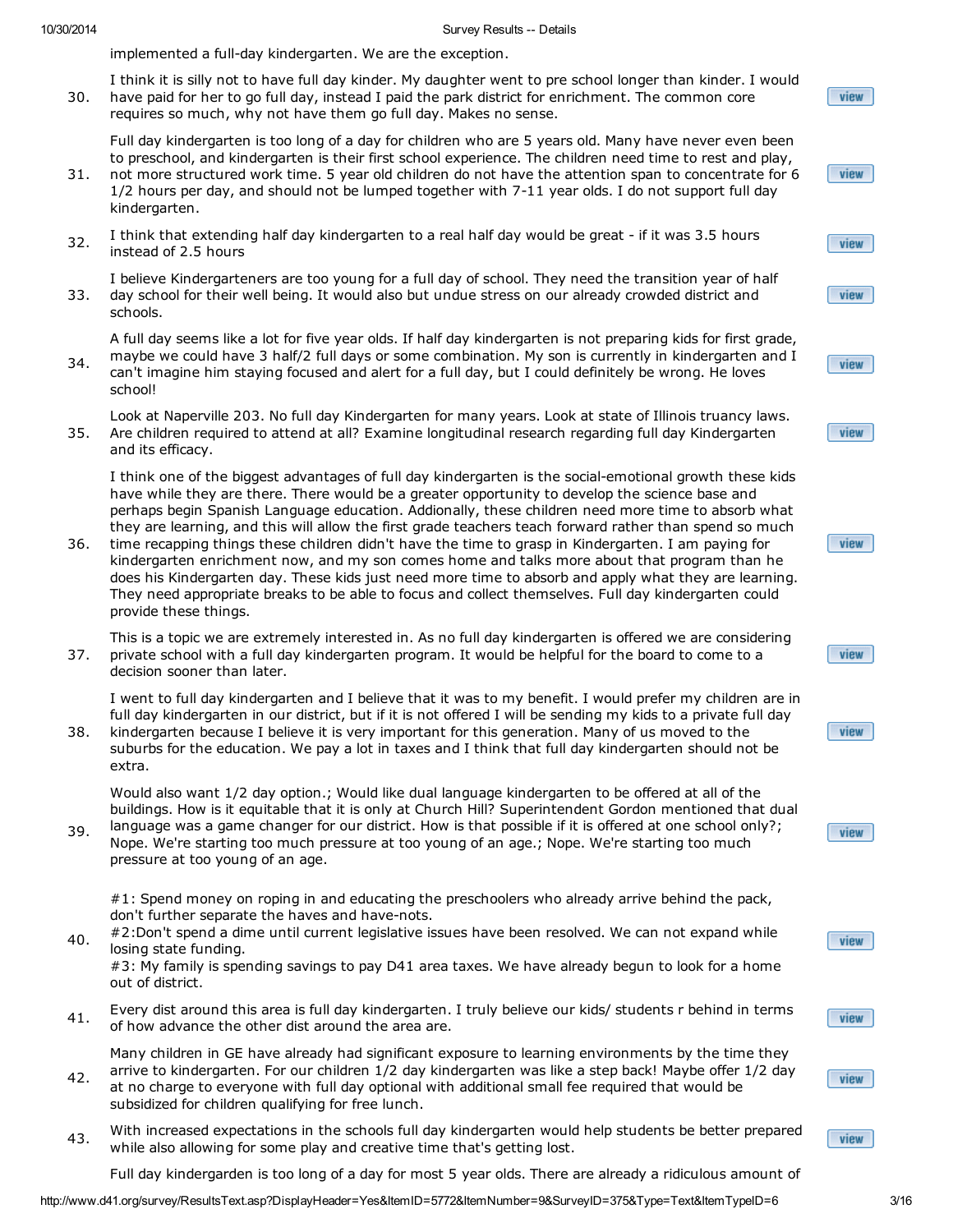implemented a full-day kindergarten. We are the exception.

30. I think it is silly not to have full day kinder. My daughter went to pre school longer than kinder. I would have paid for her to go full day, instead I paid the park district for enrichment. The common core requires so much, why not have them go full day. Makes no sense.

Full day kindergarten is too long of a day for children who are 5 years old. Many have never even been to preschool, and kindergarten is their first school experience. The children need time to rest and play,

- 31. not more structured work time. 5 year old children do not have the attention span to concentrate for 6 1/2 hours per day, and should not be lumped together with 7-11 year olds. I do not support full day kindergarten.
- 32. I think that extending half day kindergarten to a real half day would be great - if it was 3.5 hours instead of 2.5 hours

33. I believe Kindergarteners are too young for a full day of school. They need the transition year of half day school for their well being. It would also but undue stress on our already crowded district and schools.

A full day seems like a lot for five year olds. If half day kindergarten is not preparing kids for first grade, maybe we could have 3 half/2 full days or some combination. My son is currently in kindergarten and I

34. can't imagine him staying focused and alert for a full day, but I could definitely be wrong. He loves school!

35. Look at Naperville 203. No full day Kindergarten for many years. Look at state of Illinois truancy laws. Are children required to attend at all? Examine longitudinal research regarding full day Kindergarten and its efficacy.

I think one of the biggest advantages of full day kindergarten is the social-emotional growth these kids have while they are there. There would be a greater opportunity to develop the science base and perhaps begin Spanish Language education. Addionally, these children need more time to absorb what they are learning, and this will allow the first grade teachers teach forward rather than spend so much

36. time recapping things these children didn't have the time to grasp in Kindergarten. I am paying for kindergarten enrichment now, and my son comes home and talks more about that program than he does his Kindergarten day. These kids just need more time to absorb and apply what they are learning. They need appropriate breaks to be able to focus and collect themselves. Full day kindergarten could provide these things.

37. This is a topic we are extremely interested in. As no full day kindergarten is offered we are considering private school with a full day kindergarten program. It would be helpful for the board to come to a decision sooner than later.

I went to full day kindergarten and I believe that it was to my benefit. I would prefer my children are in full day kindergarten in our district, but if it is not offered I will be sending my kids to a private full day

38. kindergarten because I believe it is very important for this generation. Many of us moved to the suburbs for the education. We pay a lot in taxes and I think that full day kindergarten should not be extra.

Would also want 1/2 day option.; Would like dual language kindergarten to be offered at all of the buildings. How is it equitable that it is only at Church Hill? Superintendent Gordon mentioned that dual

39. language was a game changer for our district. How is that possible if it is offered at one school only?; Nope. We're starting too much pressure at too young of an age.; Nope. We're starting too much pressure at too young of an age.

#1: Spend money on roping in and educating the preschoolers who already arrive behind the pack, don't further separate the haves and have-nots.

40. #2:Don't spend a dime until current legislative issues have been resolved. We can not expand while losing state funding.

#3: My family is spending savings to pay D41 area taxes. We have already begun to look for a home out of district.

41. Every dist around this area is full day kindergarten. I truly believe our kids/ students r behind in terms of how advance the other dist around the area are.

Many children in GE have already had significant exposure to learning environments by the time they arrive to kindergarten. For our children 1/2 day kindergarten was like a step back! Maybe offer 1/2 day

- 42. at no charge to everyone with full day optional with additional small fee required that would be subsidized for children qualifying for free lunch.
- 43. With increased expectations in the schools full day kindergarten would help students be better prepared while also allowing for some play and creative time that's getting lost.

Full day kindergarden is too long of a day for most 5 year olds. There are already a ridiculous amount of

view

view

view

view

view

view

view

view

view

view

view

view

view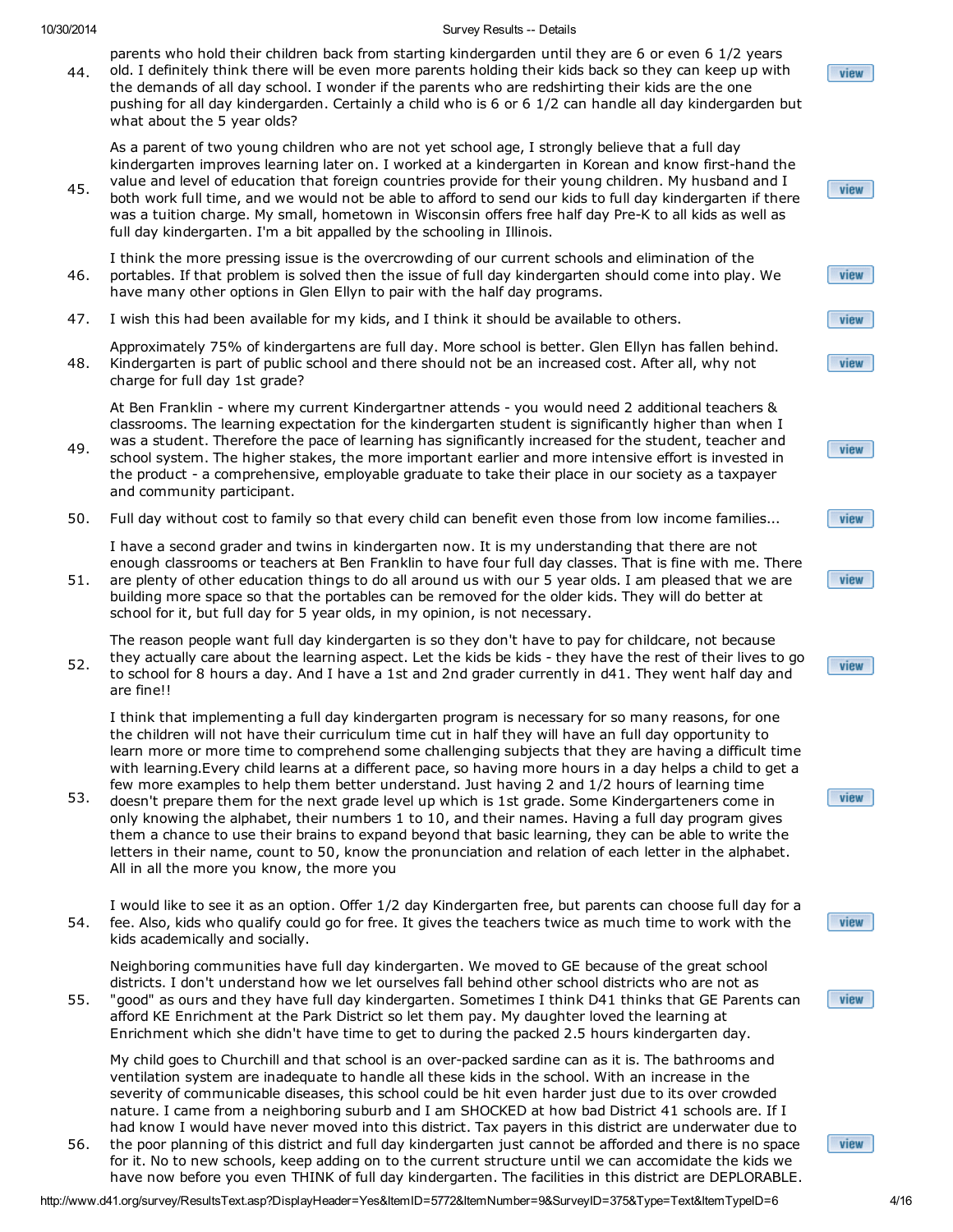52.

#### 10/30/2014 Survey Results -- Details

parents who hold their children back from starting kindergarden until they are 6 or even 6 1/2 years old. I definitely think there will be even more parents holding their kids back so they can keep up with

44. the demands of all day school. I wonder if the parents who are redshirting their kids are the one pushing for all day kindergarden. Certainly a child who is 6 or 6 1/2 can handle all day kindergarden but what about the 5 year olds?

As a parent of two young children who are not yet school age, I strongly believe that a full day kindergarten improves learning later on. I worked at a kindergarten in Korean and know first-hand the

45. value and level of education that foreign countries provide for their young children. My husband and I both work full time, and we would not be able to afford to send our kids to full day kindergarten if there was a tuition charge. My small, hometown in Wisconsin offers free half day Pre-K to all kids as well as full day kindergarten. I'm a bit appalled by the schooling in Illinois.

46. I think the more pressing issue is the overcrowding of our current schools and elimination of the portables. If that problem is solved then the issue of full day kindergarten should come into play. We have many other options in Glen Ellyn to pair with the half day programs.

47. I wish this had been available for my kids, and I think it should be available to others.

48. Approximately 75% of kindergartens are full day. More school is better. Glen Ellyn has fallen behind. Kindergarten is part of public school and there should not be an increased cost. After all, why not charge for full day 1st grade?

At Ben Franklin - where my current Kindergartner attends - you would need 2 additional teachers & classrooms. The learning expectation for the kindergarten student is significantly higher than when I was a student. Therefore the pace of learning has significantly increased for the student, teacher and

- 49. school system. The higher stakes, the more important earlier and more intensive effort is invested in the product - a comprehensive, employable graduate to take their place in our society as a taxpayer and community participant.
- 50. Full day without cost to family so that every child can benefit even those from low income families...

I have a second grader and twins in kindergarten now. It is my understanding that there are not enough classrooms or teachers at Ben Franklin to have four full day classes. That is fine with me. There

51. are plenty of other education things to do all around us with our 5 year olds. I am pleased that we are building more space so that the portables can be removed for the older kids. They will do better at school for it, but full day for 5 year olds, in my opinion, is not necessary.

The reason people want full day kindergarten is so they don't have to pay for childcare, not because they actually care about the learning aspect. Let the kids be kids - they have the rest of their lives to go to school for 8 hours a day. And I have a 1st and 2nd grader currently in d41. They went half day and are fine!!

I think that implementing a full day kindergarten program is necessary for so many reasons, for one the children will not have their curriculum time cut in half they will have an full day opportunity to learn more or more time to comprehend some challenging subjects that they are having a difficult time with learning.Every child learns at a different pace, so having more hours in a day helps a child to get a few more examples to help them better understand. Just having 2 and 1/2 hours of learning time

- 53. doesn't prepare them for the next grade level up which is 1st grade. Some Kindergarteners come in only knowing the alphabet, their numbers 1 to 10, and their names. Having a full day program gives them a chance to use their brains to expand beyond that basic learning, they can be able to write the letters in their name, count to 50, know the pronunciation and relation of each letter in the alphabet. All in all the more you know, the more you
- 54. I would like to see it as an option. Offer 1/2 day Kindergarten free, but parents can choose full day for a fee. Also, kids who qualify could go for free. It gives the teachers twice as much time to work with the kids academically and socially.

Neighboring communities have full day kindergarten. We moved to GE because of the great school districts. I don't understand how we let ourselves fall behind other school districts who are not as

55. "good" as ours and they have full day kindergarten. Sometimes I think D41 thinks that GE Parents can afford KE Enrichment at the Park District so let them pay. My daughter loved the learning at Enrichment which she didn't have time to get to during the packed 2.5 hours kindergarten day.

My child goes to Churchill and that school is an over-packed sardine can as it is. The bathrooms and ventilation system are inadequate to handle all these kids in the school. With an increase in the severity of communicable diseases, this school could be hit even harder just due to its over crowded nature. I came from a neighboring suburb and I am SHOCKED at how bad District 41 schools are. If I had know I would have never moved into this district. Tax payers in this district are underwater due to

56. the poor planning of this district and full day kindergarten just cannot be afforded and there is no space for it. No to new schools, keep adding on to the current structure until we can accomidate the kids we have now before you even THINK of full day kindergarten. The facilities in this district are DEPLORABLE.



view

view



view



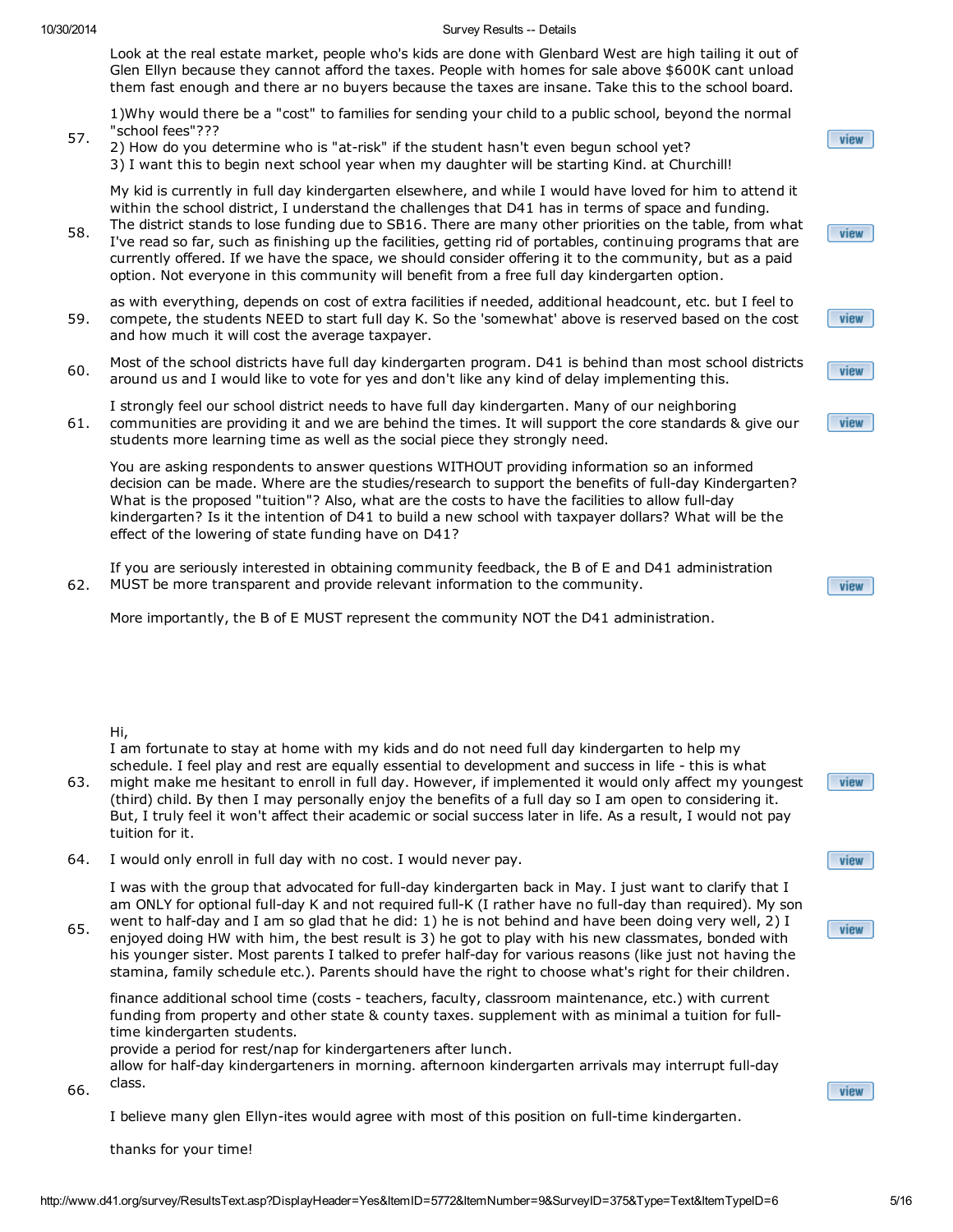57.

#### 10/30/2014 Survey Results -- Details

Look at the real estate market, people who's kids are done with Glenbard West are high tailing it out of Glen Ellyn because they cannot afford the taxes. People with homes for sale above \$600K cant unload them fast enough and there ar no buyers because the taxes are insane. Take this to the school board.

1)Why would there be a "cost" to families for sending your child to a public school, beyond the normal "school fees"???

2) How do you determine who is "at-risk" if the student hasn't even begun school yet? 3) I want this to begin next school year when my daughter will be starting Kind. at Churchill!

My kid is currently in full day kindergarten elsewhere, and while I would have loved for him to attend it within the school district, I understand the challenges that D41 has in terms of space and funding.

58. The district stands to lose funding due to SB16. There are many other priorities on the table, from what I've read so far, such as finishing up the facilities, getting rid of portables, continuing programs that are currently offered. If we have the space, we should consider offering it to the community, but as a paid option. Not everyone in this community will benefit from a free full day kindergarten option.

59. as with everything, depends on cost of extra facilities if needed, additional headcount, etc. but I feel to compete, the students NEED to start full day K. So the 'somewhat' above is reserved based on the cost and how much it will cost the average taxpayer.

60. Most of the school districts have full day kindergarten program. D41 is behind than most school districts around us and I would like to vote for yes and don't like any kind of delay implementing this.

61. I strongly feel our school district needs to have full day kindergarten. Many of our neighboring communities are providing it and we are behind the times. It will support the core standards & give our students more learning time as well as the social piece they strongly need.

You are asking respondents to answer questions WITHOUT providing information so an informed decision can be made. Where are the studies/research to support the benefits of full-day Kindergarten? What is the proposed "tuition"? Also, what are the costs to have the facilities to allow full-day kindergarten? Is it the intention of D41 to build a new school with taxpayer dollars? What will be the effect of the lowering of state funding have on D41?

62. If you are seriously interested in obtaining community feedback, the B of E and D41 administration MUST be more transparent and provide relevant information to the community.

More importantly, the B of E MUST represent the community NOT the D41 administration.

## Hi,

66.

I am fortunate to stay at home with my kids and do not need full day kindergarten to help my schedule. I feel play and rest are equally essential to development and success in life - this is what

63. might make me hesitant to enroll in full day. However, if implemented it would only affect my youngest (third) child. By then I may personally enjoy the benefits of a full day so I am open to considering it. But, I truly feel it won't affect their academic or social success later in life. As a result, I would not pay tuition for it.

64. I would only enroll in full day with no cost. I would never pay.

I was with the group that advocated for full-day kindergarten back in May. I just want to clarify that I am ONLY for optional full-day K and not required full-K (I rather have no full-day than required). My son

65. went to half-day and I am so glad that he did: 1) he is not behind and have been doing very well, 2) I enjoyed doing HW with him, the best result is 3) he got to play with his new classmates, bonded with his younger sister. Most parents I talked to prefer half-day for various reasons (like just not having the stamina, family schedule etc.). Parents should have the right to choose what's right for their children.

finance additional school time (costs - teachers, faculty, classroom maintenance, etc.) with current funding from property and other state & county taxes. supplement with as minimal a tuition for fulltime kindergarten students.

provide a period for rest/nap for kindergarteners after lunch.

allow for half-day kindergarteners in morning. afternoon kindergarten arrivals may interrupt full-day class.

I believe many glen Ellyn-ites would agree with most of this position on full-time kindergarten.

thanks for your time!







view

|  | <b><i>BENTER</i></b> |  |
|--|----------------------|--|
|  | 46 m                 |  |
|  |                      |  |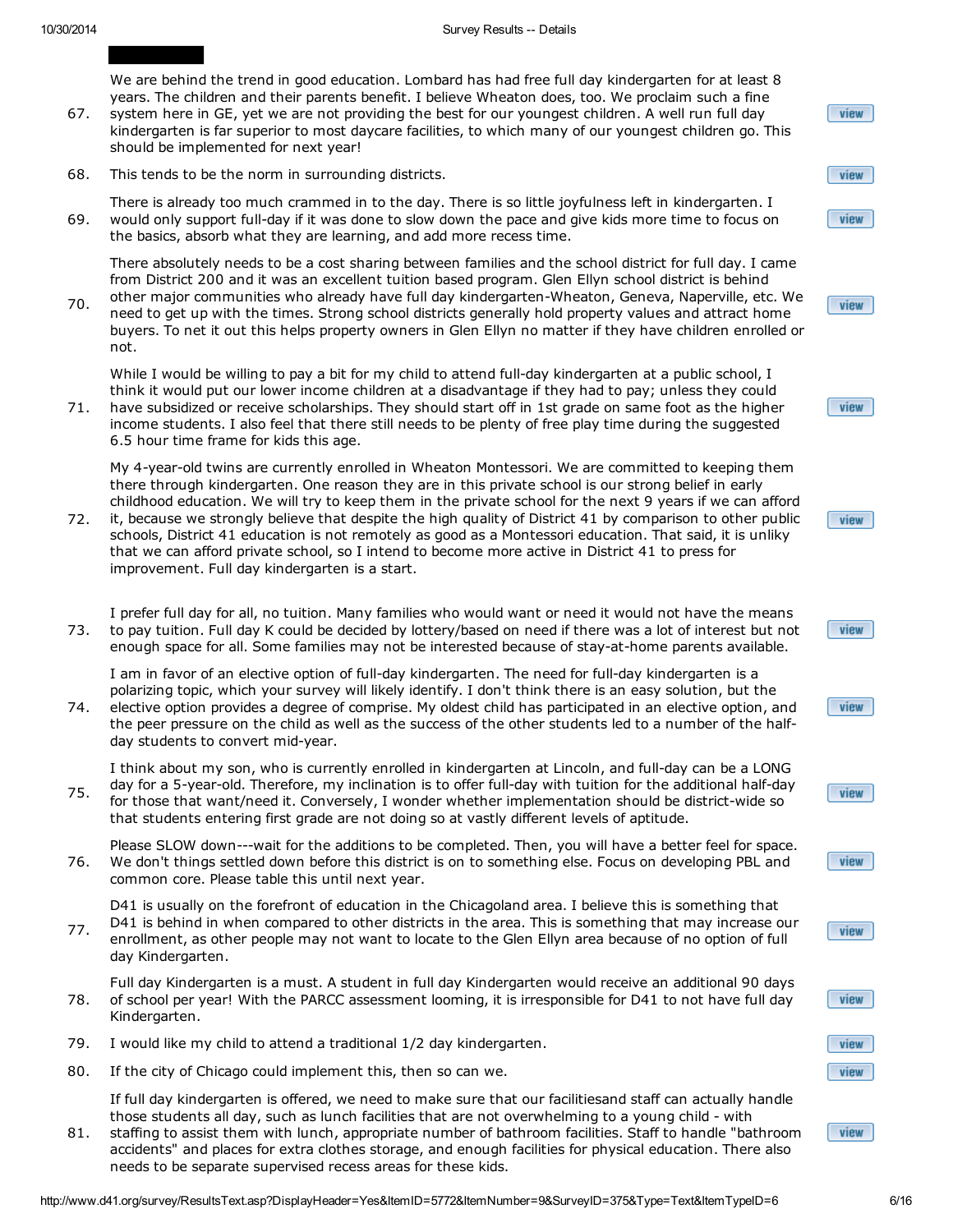We are behind the trend in good education. Lombard has had free full day kindergarten for at least 8 years. The children and their parents benefit. I believe Wheaton does, too. We proclaim such a fine

- 67. system here in GE, yet we are not providing the best for our youngest children. A well run full day kindergarten is far superior to most daycare facilities, to which many of our youngest children go. This should be implemented for next year!
- 68. This tends to be the norm in surrounding districts.
- 69. There is already too much crammed in to the day. There is so little joyfulness left in kindergarten. I would only support full-day if it was done to slow down the pace and give kids more time to focus on the basics, absorb what they are learning, and add more recess time.

There absolutely needs to be a cost sharing between families and the school district for full day. I came from District 200 and it was an excellent tuition based program. Glen Ellyn school district is behind

70. other major communities who already have full day kindergarten-Wheaton, Geneva, Naperville, etc. We need to get up with the times. Strong school districts generally hold property values and attract home buyers. To net it out this helps property owners in Glen Ellyn no matter if they have children enrolled or not.

While I would be willing to pay a bit for my child to attend full-day kindergarten at a public school, I think it would put our lower income children at a disadvantage if they had to pay; unless they could

71. have subsidized or receive scholarships. They should start off in 1st grade on same foot as the higher income students. I also feel that there still needs to be plenty of free play time during the suggested 6.5 hour time frame for kids this age.

My 4-year-old twins are currently enrolled in Wheaton Montessori. We are committed to keeping them there through kindergarten. One reason they are in this private school is our strong belief in early childhood education. We will try to keep them in the private school for the next 9 years if we can afford

- 72. it, because we strongly believe that despite the high quality of District 41 by comparison to other public schools, District 41 education is not remotely as good as a Montessori education. That said, it is unliky that we can afford private school, so I intend to become more active in District 41 to press for improvement. Full day kindergarten is a start.
- 73. I prefer full day for all, no tuition. Many families who would want or need it would not have the means to pay tuition. Full day K could be decided by lottery/based on need if there was a lot of interest but not enough space for all. Some families may not be interested because of stay-at-home parents available.

I am in favor of an elective option of full-day kindergarten. The need for full-day kindergarten is a polarizing topic, which your survey will likely identify. I don't think there is an easy solution, but the

74. elective option provides a degree of comprise. My oldest child has participated in an elective option, and the peer pressure on the child as well as the success of the other students led to a number of the halfday students to convert mid-year.

75. I think about my son, who is currently enrolled in kindergarten at Lincoln, and full-day can be a LONG day for a 5-year-old. Therefore, my inclination is to offer full-day with tuition for the additional half-day for those that want/need it. Conversely, I wonder whether implementation should be district-wide so

- that students entering first grade are not doing so at vastly different levels of aptitude.
- 76. Please SLOW down---wait for the additions to be completed. Then, you will have a better feel for space. We don't things settled down before this district is on to something else. Focus on developing PBL and common core. Please table this until next year.
- 77. D41 is usually on the forefront of education in the Chicagoland area. I believe this is something that D41 is behind in when compared to other districts in the area. This is something that may increase our enrollment, as other people may not want to locate to the Glen Ellyn area because of no option of full day Kindergarten.

78. Full day Kindergarten is a must. A student in full day Kindergarten would receive an additional 90 days of school per year! With the PARCC assessment looming, it is irresponsible for D41 to not have full day Kindergarten.

- 79. I would like my child to attend a traditional 1/2 day kindergarten.
- 80. If the city of Chicago could implement this, then so can we.

If full day kindergarten is offered, we need to make sure that our facilitiesand staff can actually handle those students all day, such as lunch facilities that are not overwhelming to a young child - with

81. staffing to assist them with lunch, appropriate number of bathroom facilities. Staff to handle "bathroom accidents" and places for extra clothes storage, and enough facilities for physical education. There also needs to be separate supervised recess areas for these kids.

ſ

view







|--|









view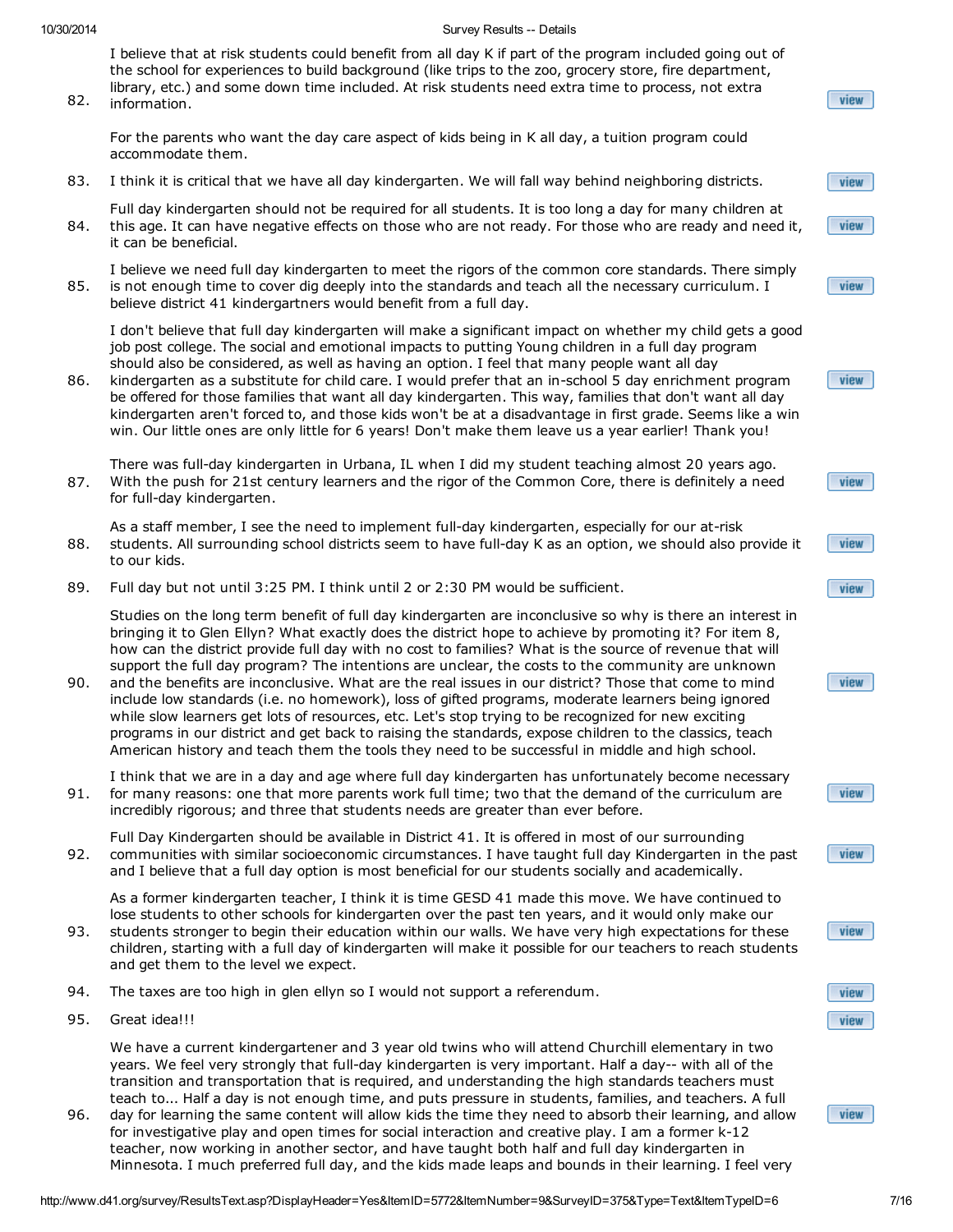I believe that at risk students could benefit from all day K if part of the program included going out of the school for experiences to build background (like trips to the zoo, grocery store, fire department, library, etc.) and some down time included. At risk students need extra time to process, not extra

82. information.

For the parents who want the day care aspect of kids being in K all day, a tuition program could accommodate them.

83. I think it is critical that we have all day kindergarten. We will fall way behind neighboring districts.

84. Full day kindergarten should not be required for all students. It is too long a day for many children at this age. It can have negative effects on those who are not ready. For those who are ready and need it, it can be beneficial.

85. I believe we need full day kindergarten to meet the rigors of the common core standards. There simply is not enough time to cover dig deeply into the standards and teach all the necessary curriculum. I believe district 41 kindergartners would benefit from a full day.

I don't believe that full day kindergarten will make a significant impact on whether my child gets a good job post college. The social and emotional impacts to putting Young children in a full day program should also be considered, as well as having an option. I feel that many people want all day

86. kindergarten as a substitute for child care. I would prefer that an in-school 5 day enrichment program be offered for those families that want all day kindergarten. This way, families that don't want all day kindergarten aren't forced to, and those kids won't be at a disadvantage in first grade. Seems like a win win. Our little ones are only little for 6 years! Don't make them leave us a year earlier! Thank you!

87. There was full-day kindergarten in Urbana, IL when I did my student teaching almost 20 years ago. With the push for 21st century learners and the rigor of the Common Core, there is definitely a need for full-day kindergarten.

88. As a staff member, I see the need to implement full-day kindergarten, especially for our at-risk students. All surrounding school districts seem to have full-day K as an option, we should also provide it to our kids.

89. Full day but not until 3:25 PM. I think until 2 or 2:30 PM would be sufficient.

Studies on the long term benefit of full day kindergarten are inconclusive so why is there an interest in bringing it to Glen Ellyn? What exactly does the district hope to achieve by promoting it? For item 8, how can the district provide full day with no cost to families? What is the source of revenue that will support the full day program? The intentions are unclear, the costs to the community are unknown

90. and the benefits are inconclusive. What are the real issues in our district? Those that come to mind include low standards (i.e. no homework), loss of gifted programs, moderate learners being ignored while slow learners get lots of resources, etc. Let's stop trying to be recognized for new exciting programs in our district and get back to raising the standards, expose children to the classics, teach American history and teach them the tools they need to be successful in middle and high school.

91. I think that we are in a day and age where full day kindergarten has unfortunately become necessary for many reasons: one that more parents work full time; two that the demand of the curriculum are incredibly rigorous; and three that students needs are greater than ever before.

92. Full Day Kindergarten should be available in District 41. It is offered in most of our surrounding communities with similar socioeconomic circumstances. I have taught full day Kindergarten in the past and I believe that a full day option is most beneficial for our students socially and academically.

As a former kindergarten teacher, I think it is time GESD 41 made this move. We have continued to lose students to other schools for kindergarten over the past ten years, and it would only make our

- 93. students stronger to begin their education within our walls. We have very high expectations for these children, starting with a full day of kindergarten will make it possible for our teachers to reach students and get them to the level we expect.
- 94. The taxes are too high in glen ellyn so I would not support a referendum.
- 95. Great idea!!!

We have a current kindergartener and 3 year old twins who will attend Churchill elementary in two years. We feel very strongly that full-day kindergarten is very important. Half a day-- with all of the transition and transportation that is required, and understanding the high standards teachers must teach to... Half a day is not enough time, and puts pressure in students, families, and teachers. A full

96. day for learning the same content will allow kids the time they need to absorb their learning, and allow for investigative play and open times for social interaction and creative play. I am a former k-12 teacher, now working in another sector, and have taught both half and full day kindergarten in Minnesota. I much preferred full day, and the kids made leaps and bounds in their learning. I feel very

view view view view view view view view view view view view

view

view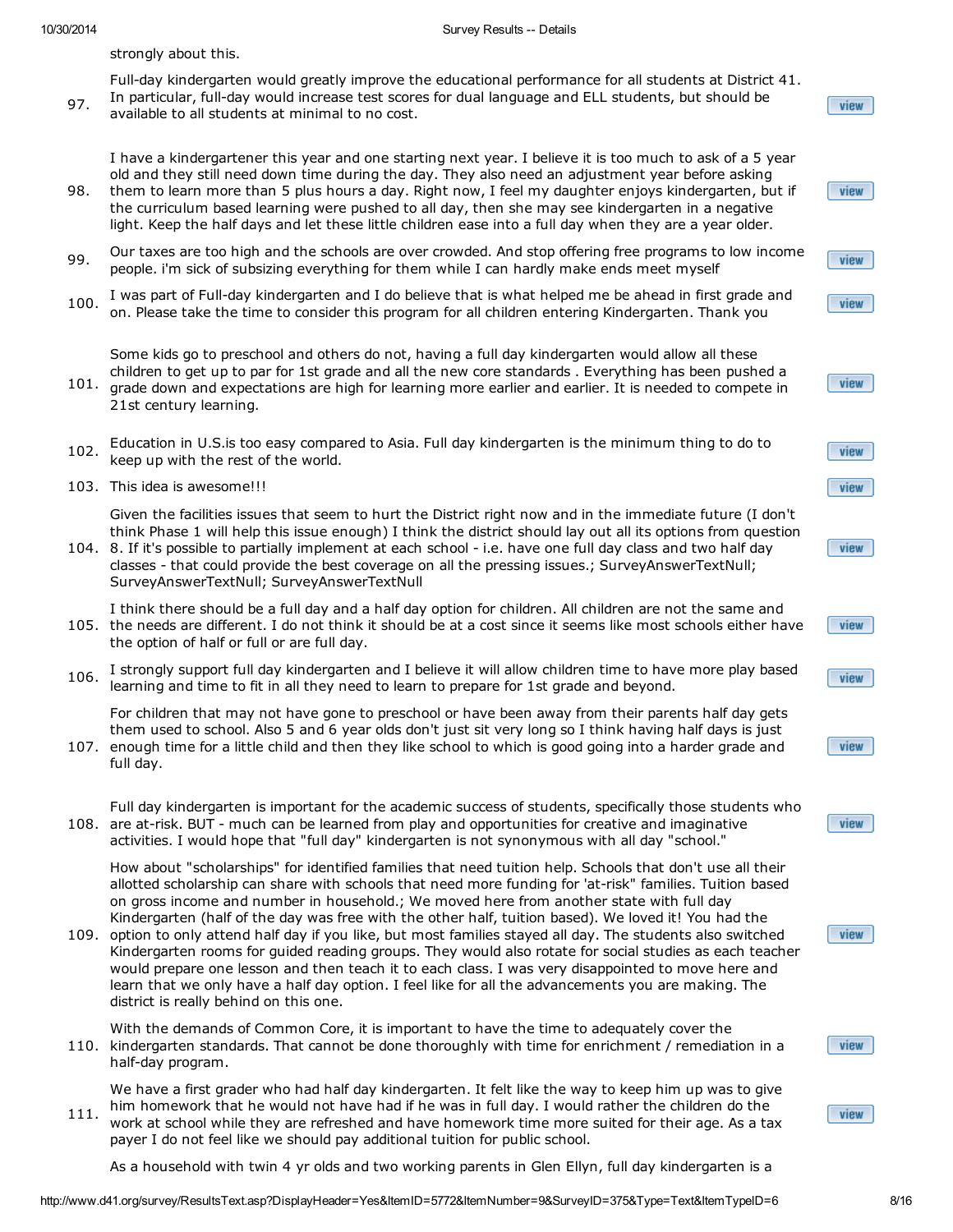strongly about this.

97. Full-day kindergarten would greatly improve the educational performance for all students at District 41. In particular, full-day would increase test scores for dual language and ELL students, but should be available to all students at minimal to no cost.

I have a kindergartener this year and one starting next year. I believe it is too much to ask of a 5 year old and they still need down time during the day. They also need an adjustment year before asking

- 98. them to learn more than 5 plus hours a day. Right now, I feel my daughter enjoys kindergarten, but if the curriculum based learning were pushed to all day, then she may see kindergarten in a negative light. Keep the half days and let these little children ease into a full day when they are a year older.
- 99. Our taxes are too high and the schools are over crowded. And stop offering free programs to low income people. i'm sick of subsizing everything for them while I can hardly make ends meet myself
- 100. I was part of Full-day kindergarten and I do believe that is what helped me be ahead in first grade and on. Please take the time to consider this program for all children entering Kindergarten. Thank you

Some kids go to preschool and others do not, having a full day kindergarten would allow all these children to get up to par for 1st grade and all the new core standards . Everything has been pushed a

- 101. grade down and expectations are high for learning more earlier and earlier. It is needed to compete in 21st century learning.
- 102. Education in U.S.is too easy compared to Asia. Full day kindergarten is the minimum thing to do to keep up with the rest of the world.
- 103. This idea is awesome!!!

Given the facilities issues that seem to hurt the District right now and in the immediate future (I don't think Phase 1 will help this issue enough) I think the district should lay out all its options from question

104. 8. If it's possible to partially implement at each school - i.e. have one full day class and two half day classes - that could provide the best coverage on all the pressing issues.; SurveyAnswerTextNull; SurveyAnswerTextNull; SurveyAnswerTextNull

105. the needs are different. I do not think it should be at a cost since it seems like most schools either have I think there should be a full day and a half day option for children. All children are not the same and the option of half or full or are full day.

106. I strongly support full day kindergarten and I believe it will allow children time to have more play based learning and time to fit in all they need to learn to prepare for 1st grade and beyond.

107. enough time for a little child and then they like school to which is good going into a harder grade and For children that may not have gone to preschool or have been away from their parents half day gets them used to school. Also 5 and 6 year olds don't just sit very long so I think having half days is just

- full day.
- 108. are at-risk. BUT much can be learned from play and opportunities for creative and imaginative Full day kindergarten is important for the academic success of students, specifically those students who activities. I would hope that "full day" kindergarten is not synonymous with all day "school."

How about "scholarships" for identified families that need tuition help. Schools that don't use all their allotted scholarship can share with schools that need more funding for 'at-risk" families. Tuition based on gross income and number in household.; We moved here from another state with full day Kindergarten (half of the day was free with the other half, tuition based). We loved it! You had the

109. option to only attend half day if you like, but most families stayed all day. The students also switched Kindergarten rooms for guided reading groups. They would also rotate for social studies as each teacher would prepare one lesson and then teach it to each class. I was very disappointed to move here and learn that we only have a half day option. I feel like for all the advancements you are making. The district is really behind on this one.

110. kindergarten standards. That cannot be done thoroughly with time for enrichment / remediation in a With the demands of Common Core, it is important to have the time to adequately cover the half-day program.

111. We have a first grader who had half day kindergarten. It felt like the way to keep him up was to give him homework that he would not have had if he was in full day. I would rather the children do the work at school while they are refreshed and have homework time more suited for their age. As a tax payer I do not feel like we should pay additional tuition for public school.

As a household with twin 4 yr olds and two working parents in Glen Ellyn, full day kindergarten is a

http://www.d41.org/survey/ResultsText.asp?DisplayHeader=Yes&ItemID=5772&ItemNumber=9&SurveyID=375&Type=Text&ItemTypeID=6 8/16

view

view

view

view

view

view

view

view

view

view

view

view

view

view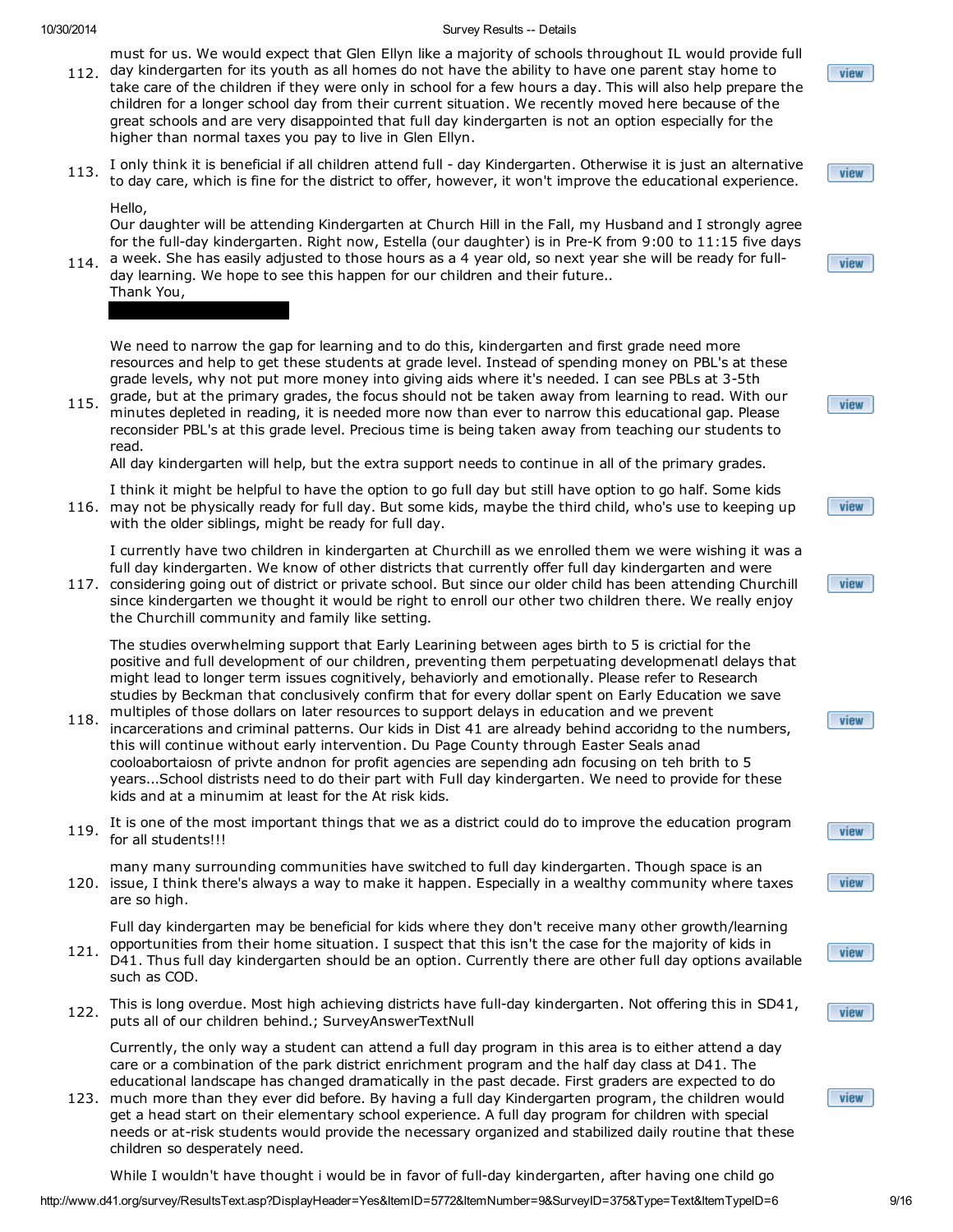must for us. We would expect that Glen Ellyn like a majority of schools throughout IL would provide full

- 112. day kindergarten for its youth as all homes do not have the ability to have one parent stay home to take care of the children if they were only in school for a few hours a day. This will also help prepare the children for a longer school day from their current situation. We recently moved here because of the great schools and are very disappointed that full day kindergarten is not an option especially for the higher than normal taxes you pay to live in Glen Ellyn.
- 113. I only think it is beneficial if all children attend full day Kindergarten. Otherwise it is just an alternative to day care, which is fine for the district to offer, however, it won't improve the educational experience.

#### Hello,

Our daughter will be attending Kindergarten at Church Hill in the Fall, my Husband and I strongly agree for the full-day kindergarten. Right now, Estella (our daughter) is in Pre-K from 9:00 to 11:15 five days a week. She has easily adjusted to those hours as a 4 year old, so next year she will be ready for full-

114. day learning. We hope to see this happen for our children and their future.. Thank You,

We need to narrow the gap for learning and to do this, kindergarten and first grade need more resources and help to get these students at grade level. Instead of spending money on PBL's at these grade levels, why not put more money into giving aids where it's needed. I can see PBLs at 3-5th

115. grade, but at the primary grades, the focus should not be taken away from learning to read. With our 115. minutes depleted in reading, it is needed more now than ever to narrow this educational gap. Please reconsider PBL's at this grade level. Precious time is being taken away from teaching our students to read.

All day kindergarten will help, but the extra support needs to continue in all of the primary grades.

116. may not be physically ready for full day. But some kids, maybe the third child, who's use to keeping up I think it might be helpful to have the option to go full day but still have option to go half. Some kids with the older siblings, might be ready for full day.

I currently have two children in kindergarten at Churchill as we enrolled them we were wishing it was a full day kindergarten. We know of other districts that currently offer full day kindergarten and were

117. considering going out of district or private school. But since our older child has been attending Churchill since kindergarten we thought it would be right to enroll our other two children there. We really enjoy the Churchill community and family like setting.

The studies overwhelming support that Early Learining between ages birth to 5 is crictial for the positive and full development of our children, preventing them perpetuating developmenatl delays that might lead to longer term issues cognitively, behaviorly and emotionally. Please refer to Research studies by Beckman that conclusively confirm that for every dollar spent on Early Education we save multiples of those dollars on later resources to support delays in education and we prevent

- 118. incarcerations and criminal patterns. Our kids in Dist 41 are already behind accoridng to the numbers, this will continue without early intervention. Du Page County through Easter Seals anad cooloabortaiosn of privte andnon for profit agencies are sepending adn focusing on teh brith to 5 years...School distrists need to do their part with Full day kindergarten. We need to provide for these kids and at a minumim at least for the At risk kids.
- 119. It is one of the most important things that we as a district could do to improve the education program for all students!!!
- 120. issue, I think there's always a way to make it happen. Especially in a wealthy community where taxes many many surrounding communities have switched to full day kindergarten. Though space is an are so high.

Full day kindergarten may be beneficial for kids where they don't receive many other growth/learning opportunities from their home situation. I suspect that this isn't the case for the majority of kids in

- 121. D41. Thus full day kindergarten should be an option. Currently there are other full day options available such as COD.
- 122. This is long overdue. Most high achieving districts have full-day kindergarten. Not offering this in SD41, puts all of our children behind.; SurveyAnswerTextNull

Currently, the only way a student can attend a full day program in this area is to either attend a day care or a combination of the park district enrichment program and the half day class at D41. The educational landscape has changed dramatically in the past decade. First graders are expected to do

123. much more than they ever did before. By having a full day Kindergarten program, the children would get a head start on their elementary school experience. A full day program for children with special needs or at-risk students would provide the necessary organized and stabilized daily routine that these children so desperately need.

While I wouldn't have thought i would be in favor of full-day kindergarten, after having one child go

view

view

view

view

view

view

view

view

view

view

view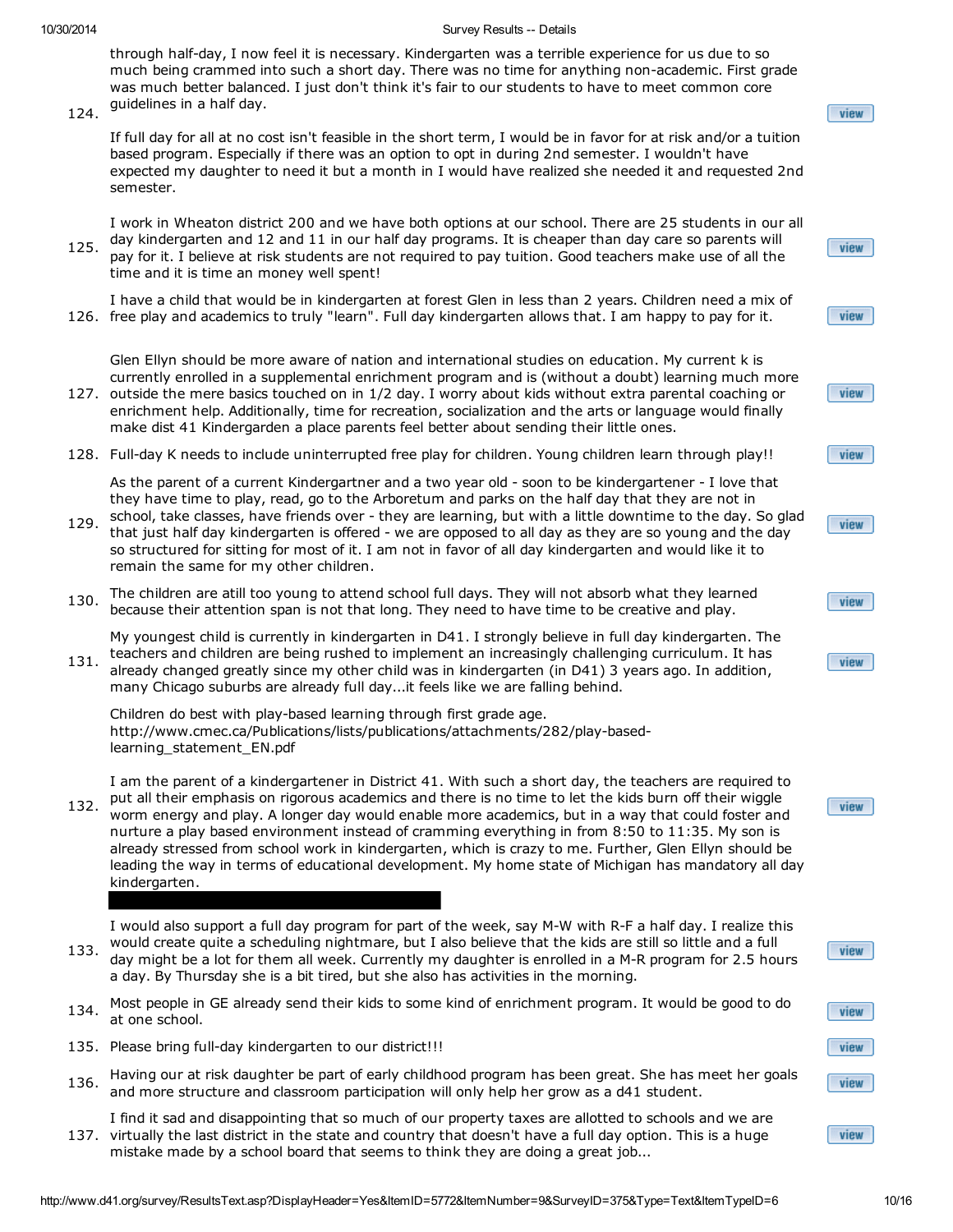through half-day, I now feel it is necessary. Kindergarten was a terrible experience for us due to so much being crammed into such a short day. There was no time for anything non-academic. First grade was much better balanced. I just don't think it's fair to our students to have to meet common core guidelines in a half day.

124.

If full day for all at no cost isn't feasible in the short term, I would be in favor for at risk and/or a tuition based program. Especially if there was an option to opt in during 2nd semester. I wouldn't have expected my daughter to need it but a month in I would have realized she needed it and requested 2nd semester.

125. I work in Wheaton district 200 and we have both options at our school. There are 25 students in our all day kindergarten and 12 and 11 in our half day programs. It is cheaper than day care so parents will pay for it. I believe at risk students are not required to pay tuition. Good teachers make use of all the time and it is time an money well spent!

I have a child that would be in kindergarten at forest Glen in less than 2 years. Children need a mix of

126. free play and academics to truly "learn". Full day kindergarten allows that. I am happy to pay for it.

Glen Ellyn should be more aware of nation and international studies on education. My current k is currently enrolled in a supplemental enrichment program and is (without a doubt) learning much more

- 127. outside the mere basics touched on in 1/2 day. I worry about kids without extra parental coaching or enrichment help. Additionally, time for recreation, socialization and the arts or language would finally make dist 41 Kindergarden a place parents feel better about sending their little ones.
- 128. Full-day K needs to include uninterrupted free play for children. Young children learn through play!!

As the parent of a current Kindergartner and a two year old - soon to be kindergartener - I love that they have time to play, read, go to the Arboretum and parks on the half day that they are not in

- 129. school, take classes, have friends over - they are learning, but with a little downtime to the day. So glad that just half day kindergarten is offered - we are opposed to all day as they are so young and the day so structured for sitting for most of it. I am not in favor of all day kindergarten and would like it to remain the same for my other children.
- 130. The children are atill too young to attend school full days. They will not absorb what they learned because their attention span is not that long. They need to have time to be creative and play.

My youngest child is currently in kindergarten in D41. I strongly believe in full day kindergarten. The teachers and children are being rushed to implement an increasingly challenging curriculum. It has

131. already changed greatly since my other child was in kindergarten (in D41) 3 years ago. In addition, many Chicago suburbs are already full day...it feels like we are falling behind.

Children do best with play-based learning through first grade age. http://www.cmec.ca/Publications/lists/publications/attachments/282/play-basedlearning statement EN.pdf

132. I am the parent of a kindergartener in District 41. With such a short day, the teachers are required to put all their emphasis on rigorous academics and there is no time to let the kids burn off their wiggle worm energy and play. A longer day would enable more academics, but in a way that could foster and nurture a play based environment instead of cramming everything in from 8:50 to 11:35. My son is already stressed from school work in kindergarten, which is crazy to me. Further, Glen Ellyn should be leading the way in terms of educational development. My home state of Michigan has mandatory all day kindergarten.

I would also support a full day program for part of the week, say M-W with R-F a half day. I realize this would create quite a scheduling nightmare, but I also believe that the kids are still so little and a full

- 133. day might be a lot for them all week. Currently my daughter is enrolled in a M-R program for 2.5 hours a day. By Thursday she is a bit tired, but she also has activities in the morning.
- 134. Most people in GE already send their kids to some kind of enrichment program. It would be good to do at one school.
- 135. Please bring full-day kindergarten to our district!!!
- 136. Having our at risk daughter be part of early childhood program has been great. She has meet her goals and more structure and classroom participation will only help her grow as a d41 student.
	- I find it sad and disappointing that so much of our property taxes are allotted to schools and we are
- 137. virtually the last district in the state and country that doesn't have a full day option. This is a huge mistake made by a school board that seems to think they are doing a great job...

| $\boxed{\mathbf{view}}$ |
|-------------------------|
| view                    |
| view                    |
| view                    |
| $\sqrt{v}$ view         |
| view                    |
| view                    |
|                         |
| $\boxed{\mathbf{view}}$ |

view

| view |
|------|
|      |
| view |
| view |
| view |
|      |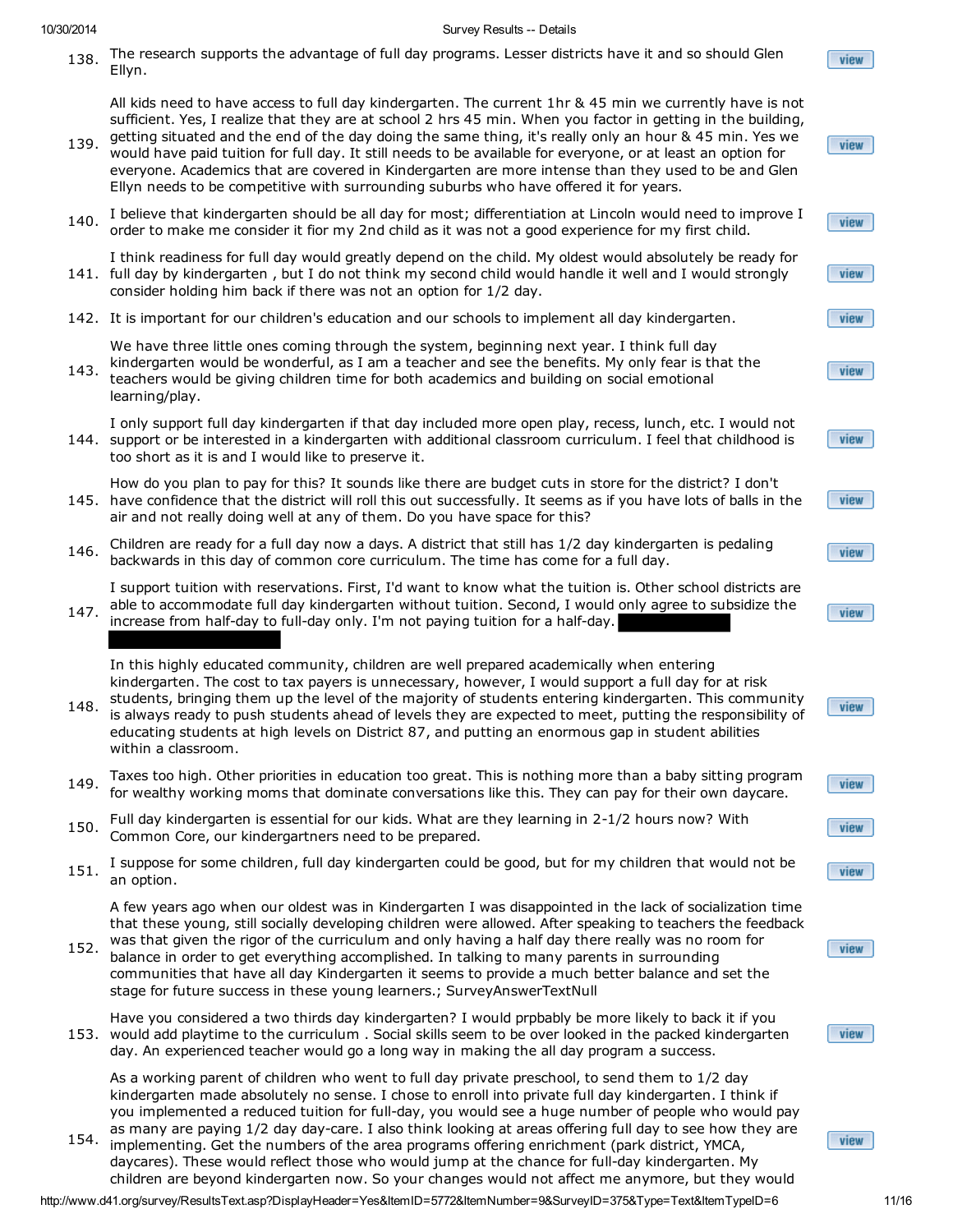138. The research supports the advantage of full day programs. Lesser districts have it and so should Glen Ellyn.

All kids need to have access to full day kindergarten. The current 1hr & 45 min we currently have is not sufficient. Yes, I realize that they are at school 2 hrs 45 min. When you factor in getting in the building,

- 139. getting situated and the end of the day doing the same thing, it's really only an hour & 45 min. Yes we would have paid tuition for full day. It still needs to be available for everyone, or at least an option for everyone. Academics that are covered in Kindergarten are more intense than they used to be and Glen Ellyn needs to be competitive with surrounding suburbs who have offered it for years.
- 140. I believe that kindergarten should be all day for most; differentiation at Lincoln would need to improve I order to make me consider it fior my 2nd child as it was not a good experience for my first child.
- 141. full day by kindergarten , but I do not think my second child would handle it well and I would strongly I think readiness for full day would greatly depend on the child. My oldest would absolutely be ready for consider holding him back if there was not an option for 1/2 day.
- 142. It is important for our children's education and our schools to implement all day kindergarten.

We have three little ones coming through the system, beginning next year. I think full day

| 143. kindergarten would be wonderful, as I am a teacher and see the benefits. My only fear is that the |
|--------------------------------------------------------------------------------------------------------|
| teachers would be giving children time for both academics and building on social emotional             |
| learning/play.                                                                                         |

144. support or be interested in a kindergarten with additional classroom curriculum. I feel that childhood is I only support full day kindergarten if that day included more open play, recess, lunch, etc. I would not too short as it is and I would like to preserve it.

145. have confidence that the district will roll this out successfully. It seems as if you have lots of balls in the How do you plan to pay for this? It sounds like there are budget cuts in store for the district? I don't air and not really doing well at any of them. Do you have space for this?

146. Children are ready for a full day now a days. A district that still has 1/2 day kindergarten is pedaling backwards in this day of common core curriculum. The time has come for a full day.

I support tuition with reservations. First, I'd want to know what the tuition is. Other school districts are able to accommodate full day kindergarten without tuition. Second, I would only agree to subsidize the

147. increase from half-day to full-day only. I'm not paying tuition for a half-day.

In this highly educated community, children are well prepared academically when entering kindergarten. The cost to tax payers is unnecessary, however, I would support a full day for at risk

- 148. students, bringing them up the level of the majority of students entering kindergarten. This community is always ready to push students ahead of levels they are expected to meet, putting the responsibility of educating students at high levels on District 87, and putting an enormous gap in student abilities within a classroom.
- 149. Taxes too high. Other priorities in education too great. This is nothing more than a baby sitting program for wealthy working moms that dominate conversations like this. They can pay for their own daycare.
- 150. Full day kindergarten is essential for our kids. What are they learning in 2-1/2 hours now? With Common Core, our kindergartners need to be prepared.
- 151. I suppose for some children, full day kindergarten could be good, but for my children that would not be an option.

A few years ago when our oldest was in Kindergarten I was disappointed in the lack of socialization time that these young, still socially developing children were allowed. After speaking to teachers the feedback was that given the rigor of the curriculum and only having a half day there really was no room for

152. balance in order to get everything accomplished. In talking to many parents in surrounding communities that have all day Kindergarten it seems to provide a much better balance and set the stage for future success in these young learners.; SurveyAnswerTextNull

153. would add playtime to the curriculum . Social skills seem to be over looked in the packed kindergarten Have you considered a two thirds day kindergarten? I would prpbably be more likely to back it if you day. An experienced teacher would go a long way in making the all day program a success.

As a working parent of children who went to full day private preschool, to send them to 1/2 day kindergarten made absolutely no sense. I chose to enroll into private full day kindergarten. I think if you implemented a reduced tuition for full-day, you would see a huge number of people who would pay as many are paying 1/2 day day-care. I also think looking at areas offering full day to see how they are

154. implementing. Get the numbers of the area programs offering enrichment (park district, YMCA, daycares). These would reflect those who would jump at the chance for full-day kindergarten. My children are beyond kindergarten now. So your changes would not affect me anymore, but they would

http://www.d41.org/survey/ResultsText.asp?DisplayHeader=Yes&ItemID=5772&ItemNumber=9&SurveyID=375&Type=Text&ItemTypeID=6 11/16

view

view

view

view

view

view

view

view

view

view

view

view

view

view

view

view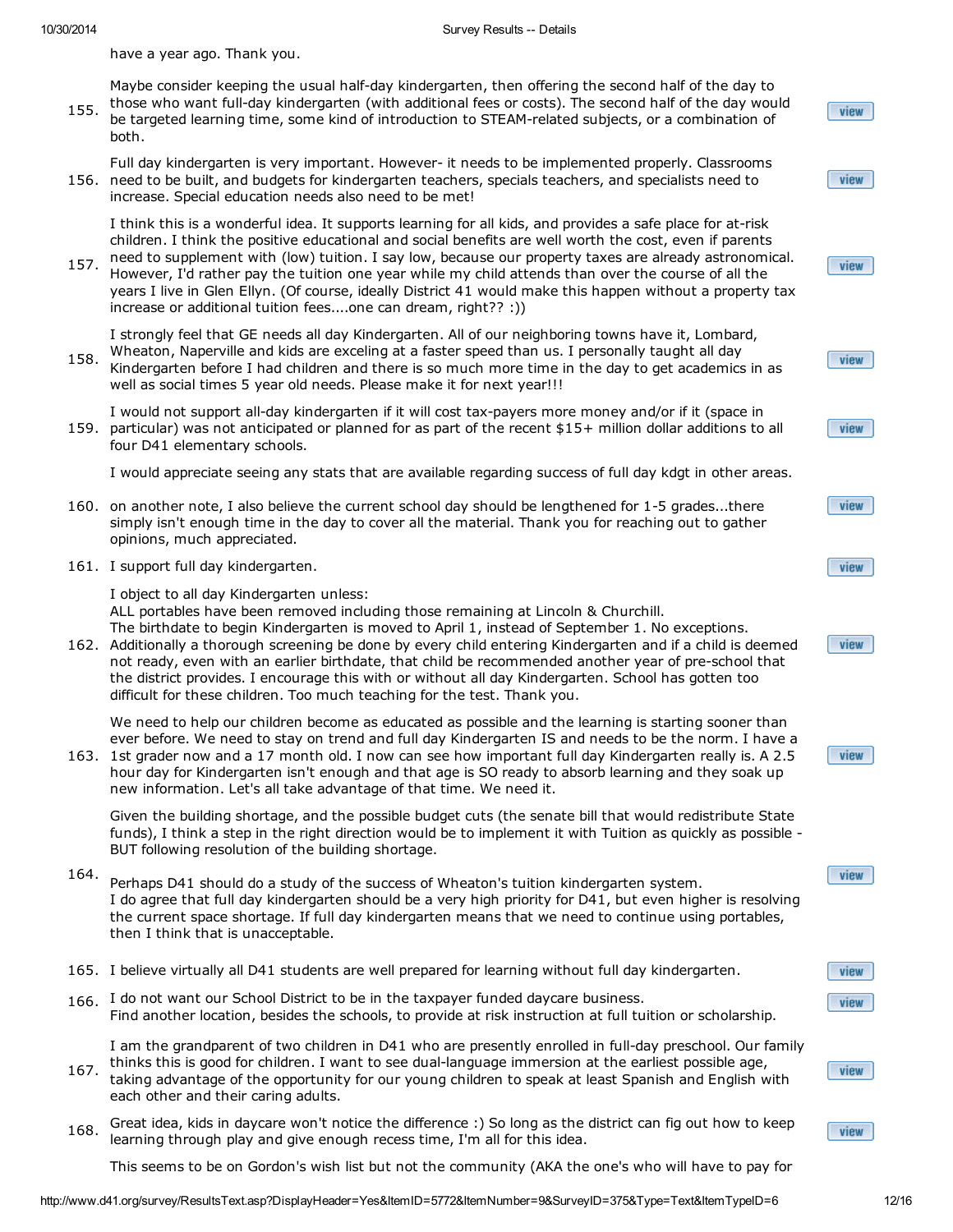have a year ago. Thank you.

- 155. Maybe consider keeping the usual half-day kindergarten, then offering the second half of the day to those who want full-day kindergarten (with additional fees or costs). The second half of the day would be targeted learning time, some kind of introduction to STEAM-related subjects, or a combination of both.
- 156. need to be built, and budgets for kindergarten teachers, specials teachers, and specialists need to Full day kindergarten is very important. However- it needs to be implemented properly. Classrooms increase. Special education needs also need to be met!
	- I think this is a wonderful idea. It supports learning for all kids, and provides a safe place for at-risk children. I think the positive educational and social benefits are well worth the cost, even if parents need to supplement with (low) tuition. I say low, because our property taxes are already astronomical.
- 157. However, I'd rather pay the tuition one year while my child attends than over the course of all the years I live in Glen Ellyn. (Of course, ideally District 41 would make this happen without a property tax increase or additional tuition fees....one can dream, right?? :))

I strongly feel that GE needs all day Kindergarten. All of our neighboring towns have it, Lombard, Wheaton, Naperville and kids are exceling at a faster speed than us. I personally taught all day

- 158. Kindergarten before I had children and there is so much more time in the day to get academics in as well as social times 5 year old needs. Please make it for next year!!!
- 159. particular) was not anticipated or planned for as part of the recent \$15+ million dollar additions to all I would not support all-day kindergarten if it will cost tax-payers more money and/or if it (space in four D41 elementary schools.

I would appreciate seeing any stats that are available regarding success of full day kdgt in other areas.

- 160. on another note, I also believe the current school day should be lengthened for 1-5 grades...there simply isn't enough time in the day to cover all the material. Thank you for reaching out to gather opinions, much appreciated.
- 161. I support full day kindergarten.

I object to all day Kindergarten unless: ALL portables have been removed including those remaining at Lincoln & Churchill. The birthdate to begin Kindergarten is moved to April 1, instead of September 1. No exceptions.

162. Additionally a thorough screening be done by every child entering Kindergarten and if a child is deemed not ready, even with an earlier birthdate, that child be recommended another year of pre-school that the district provides. I encourage this with or without all day Kindergarten. School has gotten too difficult for these children. Too much teaching for the test. Thank you.

We need to help our children become as educated as possible and the learning is starting sooner than ever before. We need to stay on trend and full day Kindergarten IS and needs to be the norm. I have a

163. 1st grader now and a 17 month old. I now can see how important full day Kindergarten really is. A 2.5 hour day for Kindergarten isn't enough and that age is SO ready to absorb learning and they soak up new information. Let's all take advantage of that time. We need it.

Given the building shortage, and the possible budget cuts (the senate bill that would redistribute State funds), I think a step in the right direction would be to implement it with Tuition as quickly as possible - BUT following resolution of the building shortage.

- 164. Perhaps D41 should do a study of the success of Wheaton's tuition kindergarten system. I do agree that full day kindergarten should be a very high priority for D41, but even higher is resolving the current space shortage. If full day kindergarten means that we need to continue using portables, then I think that is unacceptable.
- 165. I believe virtually all D41 students are well prepared for learning without full day kindergarten.
- 166. I do not want our School District to be in the taxpayer funded daycare business. Find another location, besides the schools, to provide at risk instruction at full tuition or scholarship.

I am the grandparent of two children in D41 who are presently enrolled in full-day preschool. Our family thinks this is good for children. I want to see dual-language immersion at the earliest possible age,

- 167. taking advantage of the opportunity for our young children to speak at least Spanish and English with each other and their caring adults.
- 168. Great idea, kids in daycare won't notice the difference :) So long as the district can fig out how to keep learning through play and give enough recess time, I'm all for this idea.

This seems to be on Gordon's wish list but not the community (AKA the one's who will have to pay for

view

view

view

view

view

view

view

view

view

view

view view

view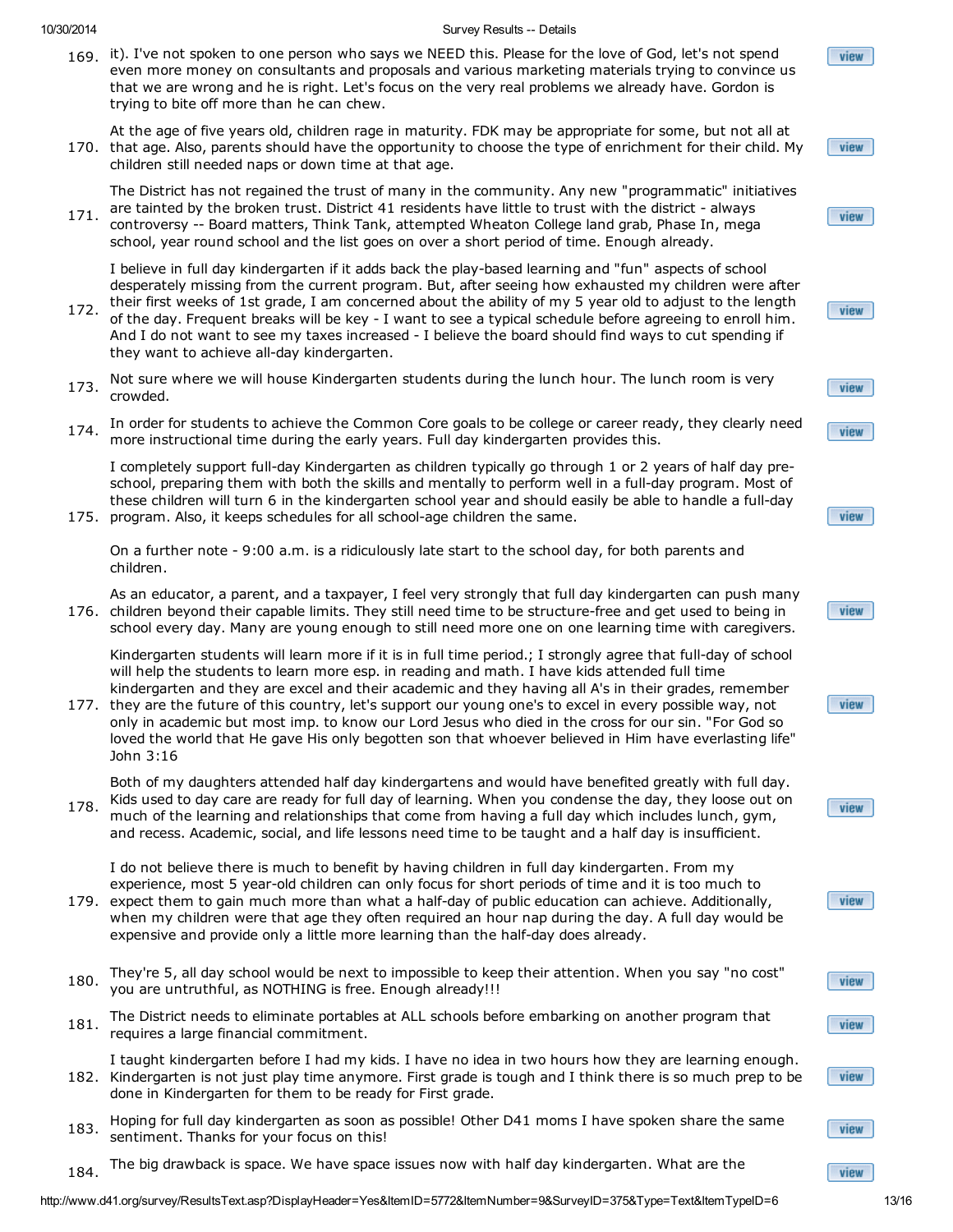- 169. it). I've not spoken to one person who says we NEED this. Please for the love of God, let's not spend even more money on consultants and proposals and various marketing materials trying to convince us that we are wrong and he is right. Let's focus on the very real problems we already have. Gordon is trying to bite off more than he can chew.
- 170. that age. Also, parents should have the opportunity to choose the type of enrichment for their child. My At the age of five years old, children rage in maturity. FDK may be appropriate for some, but not all at children still needed naps or down time at that age.

The District has not regained the trust of many in the community. Any new "programmatic" initiatives are tainted by the broken trust. District 41 residents have little to trust with the district - always

171. controversy -- Board matters, Think Tank, attempted Wheaton College land grab, Phase In, mega school, year round school and the list goes on over a short period of time. Enough already.

I believe in full day kindergarten if it adds back the play-based learning and "fun" aspects of school desperately missing from the current program. But, after seeing how exhausted my children were after their first weeks of 1st grade, I am concerned about the ability of my 5 year old to adjust to the length

- 172. of the day. Frequent breaks will be key - I want to see a typical schedule before agreeing to enroll him. And I do not want to see my taxes increased - I believe the board should find ways to cut spending if they want to achieve all-day kindergarten.
- 173. Not sure where we will house Kindergarten students during the lunch hour. The lunch room is very crowded.
- 174. In order for students to achieve the Common Core goals to be college or career ready, they clearly need more instructional time during the early years. Full day kindergarten provides this.

175. program. Also, it keeps schedules for all school-age children the same. I completely support full-day Kindergarten as children typically go through 1 or 2 years of half day preschool, preparing them with both the skills and mentally to perform well in a full-day program. Most of these children will turn 6 in the kindergarten school year and should easily be able to handle a full-day

On a further note - 9:00 a.m. is a ridiculously late start to the school day, for both parents and children.

176. children beyond their capable limits. They still need time to be structure-free and get used to being in As an educator, a parent, and a taxpayer, I feel very strongly that full day kindergarten can push many school every day. Many are young enough to still need more one on one learning time with caregivers.

Kindergarten students will learn more if it is in full time period.; I strongly agree that full-day of school will help the students to learn more esp. in reading and math. I have kids attended full time kindergarten and they are excel and their academic and they having all A's in their grades, remember

177. they are the future of this country, let's support our young one's to excel in every possible way, not only in academic but most imp. to know our Lord Jesus who died in the cross for our sin. "For God so loved the world that He gave His only begotten son that whoever believed in Him have everlasting life" John 3:16

178. Both of my daughters attended half day kindergartens and would have benefited greatly with full day. Kids used to day care are ready for full day of learning. When you condense the day, they loose out on much of the learning and relationships that come from having a full day which includes lunch, gym,

I do not believe there is much to benefit by having children in full day kindergarten. From my experience, most 5 year-old children can only focus for short periods of time and it is too much to

and recess. Academic, social, and life lessons need time to be taught and a half day is insufficient.

- 179. expect them to gain much more than what a half-day of public education can achieve. Additionally, when my children were that age they often required an hour nap during the day. A full day would be expensive and provide only a little more learning than the half-day does already.
- 180. They're 5, all day school would be next to impossible to keep their attention. When you say "no cost" you are untruthful, as NOTHING is free. Enough already!!!
- 181. The District needs to eliminate portables at ALL schools before embarking on another program that requires a large financial commitment.
- 182. Kindergarten is not just play time anymore. First grade is tough and I think there is so much prep to be I taught kindergarten before I had my kids. I have no idea in two hours how they are learning enough. done in Kindergarten for them to be ready for First grade.
- 183. Hoping for full day kindergarten as soon as possible! Other D41 moms I have spoken share the same sentiment. Thanks for your focus on this!
- 184. The big drawback is space. We have space issues now with half day kindergarten. What are the

view

view

view



view

| ---------------------- |  |  |  |
|------------------------|--|--|--|
|                        |  |  |  |
|                        |  |  |  |
|                        |  |  |  |

view



view

view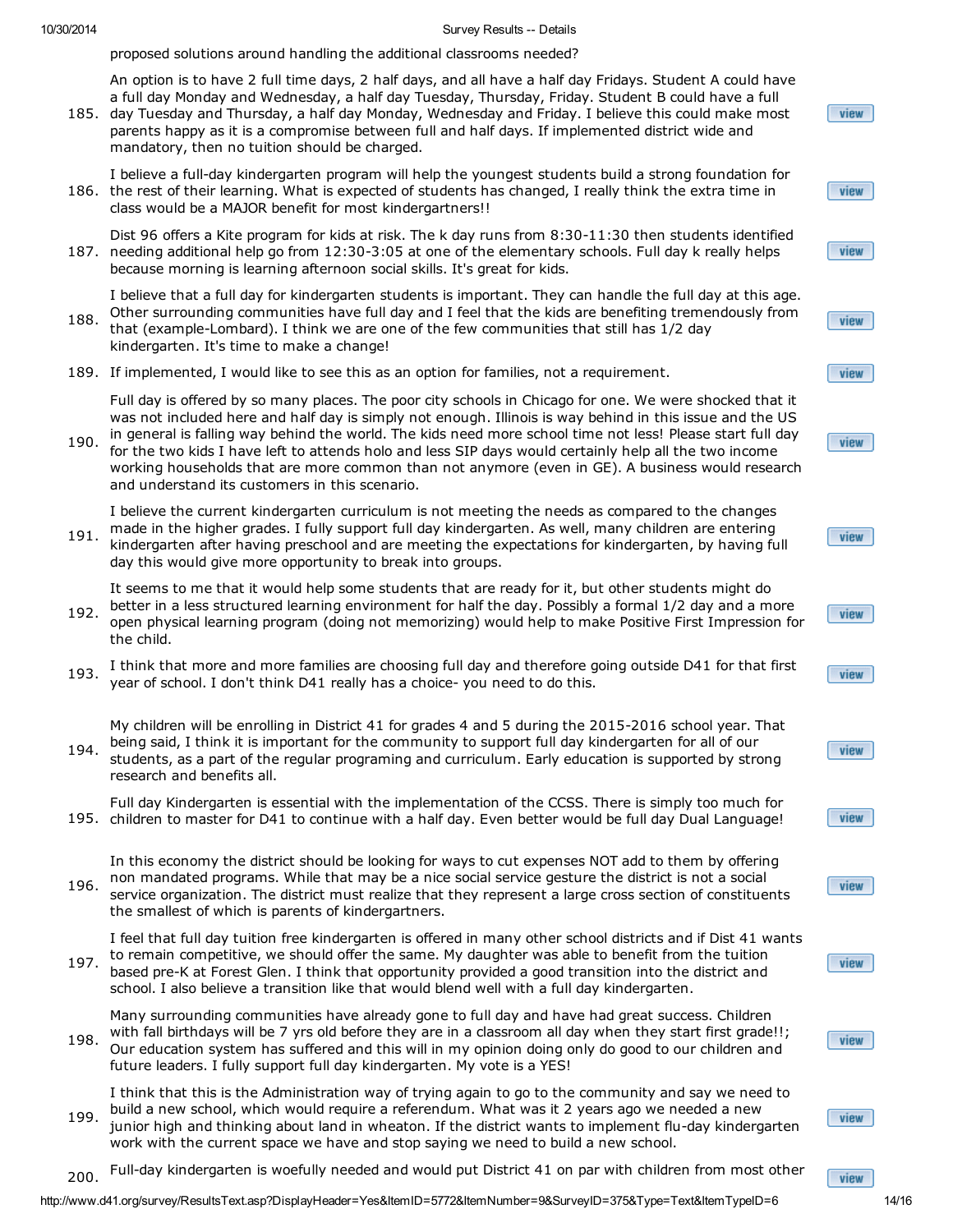proposed solutions around handling the additional classrooms needed?

185. day Tuesday and Thursday, a half day Monday, Wednesday and Friday. I believe this could make most An option is to have 2 full time days, 2 half days, and all have a half day Fridays. Student A could have a full day Monday and Wednesday, a half day Tuesday, Thursday, Friday. Student B could have a full parents happy as it is a compromise between full and half days. If implemented district wide and mandatory, then no tuition should be charged.

186. the rest of their learning. What is expected of students has changed, I really think the extra time in I believe a full-day kindergarten program will help the youngest students build a strong foundation for class would be a MAJOR benefit for most kindergartners!!

187. needing additional help go from 12:30-3:05 at one of the elementary schools. Full day k really helps Dist 96 offers a Kite program for kids at risk. The k day runs from 8:30-11:30 then students identified because morning is learning afternoon social skills. It's great for kids.

I believe that a full day for kindergarten students is important. They can handle the full day at this age. Other surrounding communities have full day and I feel that the kids are benefiting tremendously from

- 188. that (example-Lombard). I think we are one of the few communities that still has 1/2 day kindergarten. It's time to make a change!
- 189. If implemented, I would like to see this as an option for families, not a requirement.

Full day is offered by so many places. The poor city schools in Chicago for one. We were shocked that it was not included here and half day is simply not enough. Illinois is way behind in this issue and the US in general is falling way behind the world. The kids need more school time not less! Please start full day

190. for the two kids I have left to attends holo and less SIP days would certainly help all the two income working households that are more common than not anymore (even in GE). A business would research and understand its customers in this scenario.

I believe the current kindergarten curriculum is not meeting the needs as compared to the changes

191. made in the higher grades. I fully support full day kindergarten. As well, many children are entering kindergarten after having preschool and are meeting the expectations for kindergarten, by having full day this would give more opportunity to break into groups.

It seems to me that it would help some students that are ready for it, but other students might do

- 192. better in a less structured learning environment for half the day. Possibly a formal 1/2 day and a more open physical learning program (doing not memorizing) would help to make Positive First Impression for the child.
- 193. I think that more and more families are choosing full day and therefore going outside D41 for that first year of school. I don't think D41 really has a choice- you need to do this.

194. My children will be enrolling in District 41 for grades 4 and 5 during the 2015-2016 school year. That being said, I think it is important for the community to support full day kindergarten for all of our students, as a part of the regular programing and curriculum. Early education is supported by strong research and benefits all.

195. children to master for D41 to continue with a half day. Even better would be full day Dual Language! Full day Kindergarten is essential with the implementation of the CCSS. There is simply too much for

196. In this economy the district should be looking for ways to cut expenses NOT add to them by offering non mandated programs. While that may be a nice social service gesture the district is not a social service organization. The district must realize that they represent a large cross section of constituents the smallest of which is parents of kindergartners.

197. I feel that full day tuition free kindergarten is offered in many other school districts and if Dist 41 wants to remain competitive, we should offer the same. My daughter was able to benefit from the tuition based pre-K at Forest Glen. I think that opportunity provided a good transition into the district and school. I also believe a transition like that would blend well with a full day kindergarten.

198. Many surrounding communities have already gone to full day and have had great success. Children with fall birthdays will be 7 yrs old before they are in a classroom all day when they start first grade!!; Our education system has suffered and this will in my opinion doing only do good to our children and future leaders. I fully support full day kindergarten. My vote is a YES!

199. I think that this is the Administration way of trying again to go to the community and say we need to build a new school, which would require a referendum. What was it 2 years ago we needed a new junior high and thinking about land in wheaton. If the district wants to implement flu-day kindergarten work with the current space we have and stop saying we need to build a new school.

200. Full-day kindergarten is woefully needed and would put District 41 on par with children from most other

http://www.d41.org/survey/ResultsText.asp?DisplayHeader=Yes&ItemID=5772&ItemNumber=9&SurveyID=375&Type=Text&ItemTypeID=6 14/16

| view |
|------|
|      |
| view |
|      |
| view |
|      |
| view |
|      |
| view |
|      |
| view |
|      |

view

view

view

view

view

view





view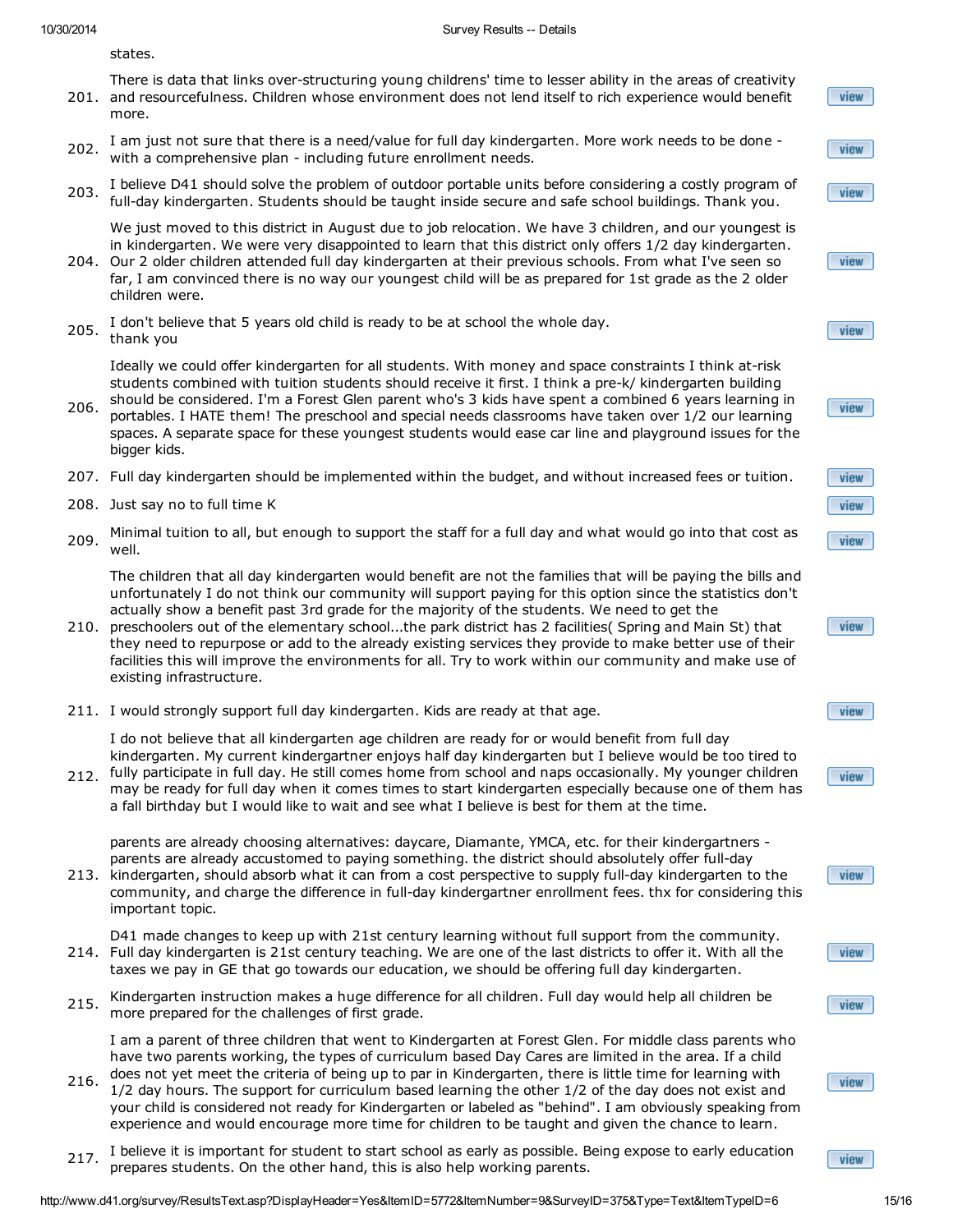states.

- 201. and resourcefulness. Children whose environment does not lend itself to rich experience would benefit There is data that links over-structuring young childrens' time to lesser ability in the areas of creativity more.
- 202. I am just not sure that there is a need/value for full day kindergarten. More work needs to be done with a comprehensive plan - including future enrollment needs.
- 203. I believe D41 should solve the problem of outdoor portable units before considering a costly program of full-day kindergarten. Students should be taught inside secure and safe school buildings. Thank you.

We just moved to this district in August due to job relocation. We have 3 children, and our youngest is in kindergarten. We were very disappointed to learn that this district only offers 1/2 day kindergarten.

- 204. Our 2 older children attended full day kindergarten at their previous schools. From what I've seen so far, I am convinced there is no way our youngest child will be as prepared for 1st grade as the 2 older children were.
- 205. I don't believe that 5 years old child is ready to be at school the whole day. thank you

Ideally we could offer kindergarten for all students. With money and space constraints I think at-risk students combined with tuition students should receive it first. I think a pre-k/ kindergarten building

- 206. should be considered. I'm a Forest Glen parent who's 3 kids have spent a combined 6 years learning in portables. I HATE them! The preschool and special needs classrooms have taken over 1/2 our learning spaces. A separate space for these youngest students would ease car line and playground issues for the bigger kids.
- 207. Full day kindergarten should be implemented within the budget, and without increased fees or tuition.
- 208. Just say no to full time K
- 209. Minimal tuition to all, but enough to support the staff for a full day and what would go into that cost as well.

The children that all day kindergarten would benefit are not the families that will be paying the bills and unfortunately I do not think our community will support paying for this option since the statistics don't actually show a benefit past 3rd grade for the majority of the students. We need to get the

- 210. preschoolers out of the elementary school...the park district has 2 facilities( Spring and Main St) that they need to repurpose or add to the already existing services they provide to make better use of their facilities this will improve the environments for all. Try to work within our community and make use of existing infrastructure.
- 211. I would strongly support full day kindergarten. Kids are ready at that age.

I do not believe that all kindergarten age children are ready for or would benefit from full day kindergarten. My current kindergartner enjoys half day kindergarten but I believe would be too tired to

212. fully participate in full day. He still comes home from school and naps occasionally. My younger children may be ready for full day when it comes times to start kindergarten especially because one of them has a fall birthday but I would like to wait and see what I believe is best for them at the time.

parents are already choosing alternatives: daycare, Diamante, YMCA, etc. for their kindergartners parents are already accustomed to paying something. the district should absolutely offer full-day

213. kindergarten, should absorb what it can from a cost perspective to supply full-day kindergarten to the community, and charge the difference in full-day kindergartner enrollment fees. thx for considering this important topic.

214. Full day kindergarten is 21st century teaching. We are one of the last districts to offer it. With all the D41 made changes to keep up with 21st century learning without full support from the community. taxes we pay in GE that go towards our education, we should be offering full day kindergarten.

215. Kindergarten instruction makes a huge difference for all children. Full day would help all children be more prepared for the challenges of first grade.

I am a parent of three children that went to Kindergarten at Forest Glen. For middle class parents who have two parents working, the types of curriculum based Day Cares are limited in the area. If a child

- 216. does not yet meet the criteria of being up to par in Kindergarten, there is little time for learning with 1/2 day hours. The support for curriculum based learning the other 1/2 of the day does not exist and your child is considered not ready for Kindergarten or labeled as "behind". I am obviously speaking from experience and would encourage more time for children to be taught and given the chance to learn.
- 217. I believe it is important for student to start school as early as possible. Being expose to early education prepares students. On the other hand, this is also help working parents.

http://www.d41.org/survey/ResultsText.asp?DisplayHeader=Yes&ItemID=5772&ItemNumber=9&SurveyID=375&Type=Text&ItemTypeID=6 15/16

view

view

view

view

view

view

view view

view

view

view

view

view

view

view

view